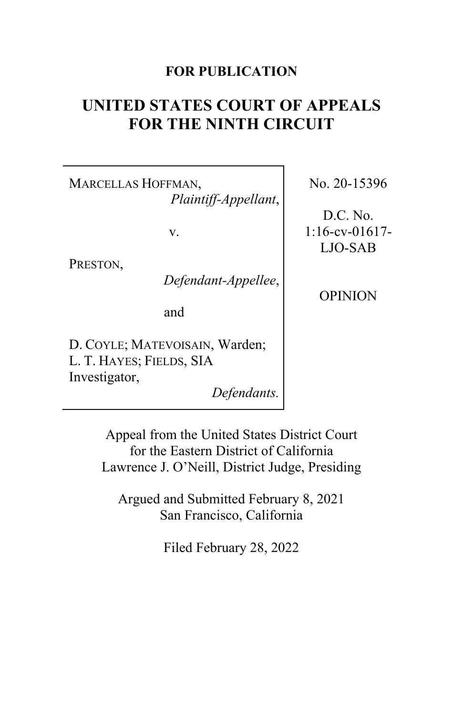# **FOR PUBLICATION**

# **UNITED STATES COURT OF APPEALS FOR THE NINTH CIRCUIT**

MARCELLAS HOFFMAN, *Plaintiff-Appellant*,

v.

PRESTON,

*Defendant-Appellee*,

and

D. COYLE; MATEVOISAIN, Warden; L. T. HAYES; FIELDS, SIA Investigator,

*Defendants.*

No. 20-15396

D.C. No. 1:16-cv-01617- LJO-SAB

OPINION

Appeal from the United States District Court for the Eastern District of California Lawrence J. O'Neill, District Judge, Presiding

Argued and Submitted February 8, 2021 San Francisco, California

Filed February 28, 2022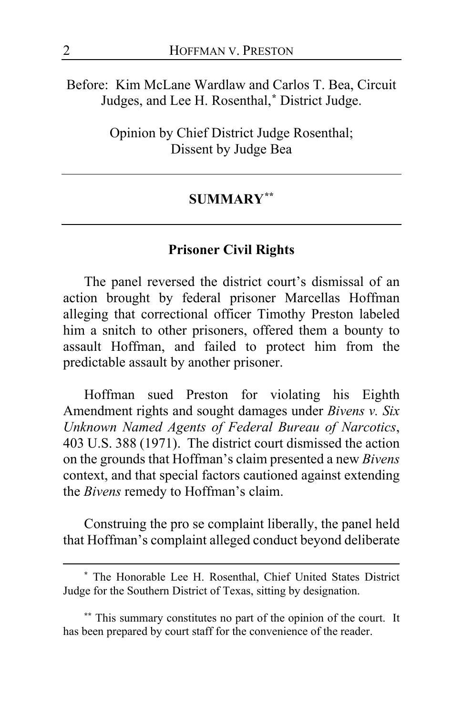Before: Kim McLane Wardlaw and Carlos T. Bea, Circuit Judges, and Lee H. Rosenthal,**[\\*](#page-1-0)** District Judge.

> Opinion by Chief District Judge Rosenthal; Dissent by Judge Bea

## **SUMMARY[\\*\\*](#page-1-1)**

## **Prisoner Civil Rights**

The panel reversed the district court's dismissal of an action brought by federal prisoner Marcellas Hoffman alleging that correctional officer Timothy Preston labeled him a snitch to other prisoners, offered them a bounty to assault Hoffman, and failed to protect him from the predictable assault by another prisoner.

Hoffman sued Preston for violating his Eighth Amendment rights and sought damages under *Bivens v. Six Unknown Named Agents of Federal Bureau of Narcotics*, 403 U.S. 388 (1971). The district court dismissed the action on the grounds that Hoffman's claim presented a new *Bivens*  context, and that special factors cautioned against extending the *Bivens* remedy to Hoffman's claim.

Construing the pro se complaint liberally, the panel held that Hoffman's complaint alleged conduct beyond deliberate

<span id="page-1-0"></span>**<sup>\*</sup>** The Honorable Lee H. Rosenthal, Chief United States District Judge for the Southern District of Texas, sitting by designation.

<span id="page-1-1"></span>**<sup>\*\*</sup>** This summary constitutes no part of the opinion of the court. It has been prepared by court staff for the convenience of the reader.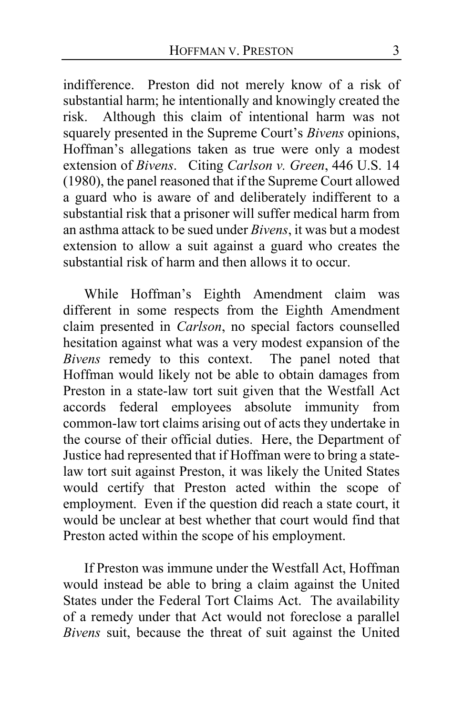indifference. Preston did not merely know of a risk of substantial harm; he intentionally and knowingly created the risk. Although this claim of intentional harm was not squarely presented in the Supreme Court's *Bivens* opinions, Hoffman's allegations taken as true were only a modest extension of *Bivens*. Citing *Carlson v. Green*, 446 U.S. 14 (1980), the panel reasoned that if the Supreme Court allowed a guard who is aware of and deliberately indifferent to a substantial risk that a prisoner will suffer medical harm from an asthma attack to be sued under *Bivens*, it was but a modest extension to allow a suit against a guard who creates the substantial risk of harm and then allows it to occur.

While Hoffman's Eighth Amendment claim was different in some respects from the Eighth Amendment claim presented in *Carlson*, no special factors counselled hesitation against what was a very modest expansion of the *Bivens* remedy to this context. The panel noted that Hoffman would likely not be able to obtain damages from Preston in a state-law tort suit given that the Westfall Act accords federal employees absolute immunity from common-law tort claims arising out of acts they undertake in the course of their official duties. Here, the Department of Justice had represented that if Hoffman were to bring a statelaw tort suit against Preston, it was likely the United States would certify that Preston acted within the scope of employment. Even if the question did reach a state court, it would be unclear at best whether that court would find that Preston acted within the scope of his employment.

If Preston was immune under the Westfall Act, Hoffman would instead be able to bring a claim against the United States under the Federal Tort Claims Act. The availability of a remedy under that Act would not foreclose a parallel *Bivens* suit, because the threat of suit against the United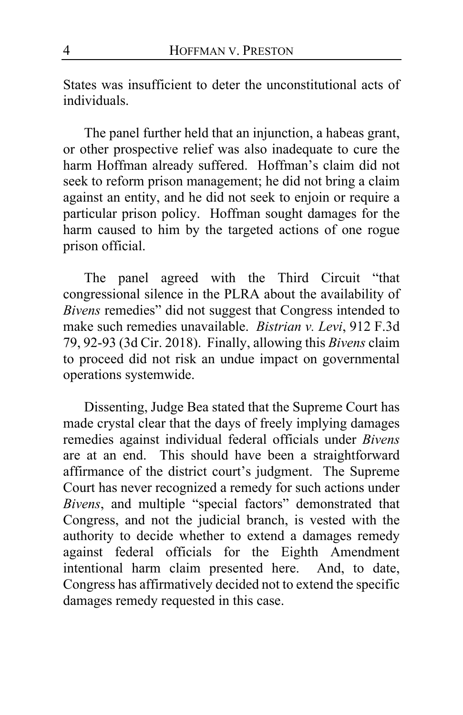States was insufficient to deter the unconstitutional acts of individuals.

The panel further held that an injunction, a habeas grant, or other prospective relief was also inadequate to cure the harm Hoffman already suffered. Hoffman's claim did not seek to reform prison management; he did not bring a claim against an entity, and he did not seek to enjoin or require a particular prison policy. Hoffman sought damages for the harm caused to him by the targeted actions of one rogue prison official.

The panel agreed with the Third Circuit "that congressional silence in the PLRA about the availability of *Bivens* remedies" did not suggest that Congress intended to make such remedies unavailable. *Bistrian v. Levi*, 912 F.3d 79, 92-93 (3d Cir. 2018). Finally, allowing this *Bivens* claim to proceed did not risk an undue impact on governmental operations systemwide.

Dissenting, Judge Bea stated that the Supreme Court has made crystal clear that the days of freely implying damages remedies against individual federal officials under *Bivens* are at an end. This should have been a straightforward affirmance of the district court's judgment. The Supreme Court has never recognized a remedy for such actions under *Bivens*, and multiple "special factors" demonstrated that Congress, and not the judicial branch, is vested with the authority to decide whether to extend a damages remedy against federal officials for the Eighth Amendment intentional harm claim presented here. And, to date, Congress has affirmatively decided not to extend the specific damages remedy requested in this case.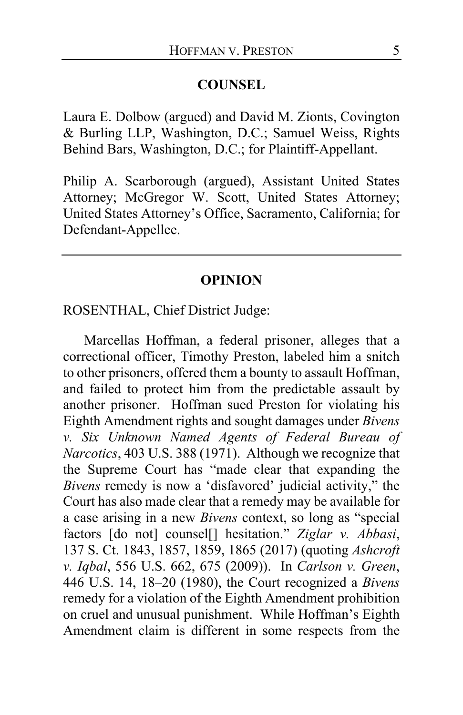## **COUNSEL**

Laura E. Dolbow (argued) and David M. Zionts, Covington & Burling LLP, Washington, D.C.; Samuel Weiss, Rights Behind Bars, Washington, D.C.; for Plaintiff-Appellant.

Philip A. Scarborough (argued), Assistant United States Attorney; McGregor W. Scott, United States Attorney; United States Attorney's Office, Sacramento, California; for Defendant-Appellee.

#### **OPINION**

## ROSENTHAL, Chief District Judge:

Marcellas Hoffman, a federal prisoner, alleges that a correctional officer, Timothy Preston, labeled him a snitch to other prisoners, offered them a bounty to assault Hoffman, and failed to protect him from the predictable assault by another prisoner. Hoffman sued Preston for violating his Eighth Amendment rights and sought damages under *Bivens v. Six Unknown Named Agents of Federal Bureau of Narcotics*, 403 U.S. 388 (1971). Although we recognize that the Supreme Court has "made clear that expanding the *Bivens* remedy is now a 'disfavored' judicial activity," the Court has also made clear that a remedy may be available for a case arising in a new *Bivens* context, so long as "special factors [do not] counsel[] hesitation." *Ziglar v. Abbasi*, 137 S. Ct. 1843, 1857, 1859, 1865 (2017) (quoting *Ashcroft v. Iqbal*, 556 U.S. 662, 675 (2009)). In *Carlson v. Green*, 446 U.S. 14, 18–20 (1980), the Court recognized a *Bivens*  remedy for a violation of the Eighth Amendment prohibition on cruel and unusual punishment. While Hoffman's Eighth Amendment claim is different in some respects from the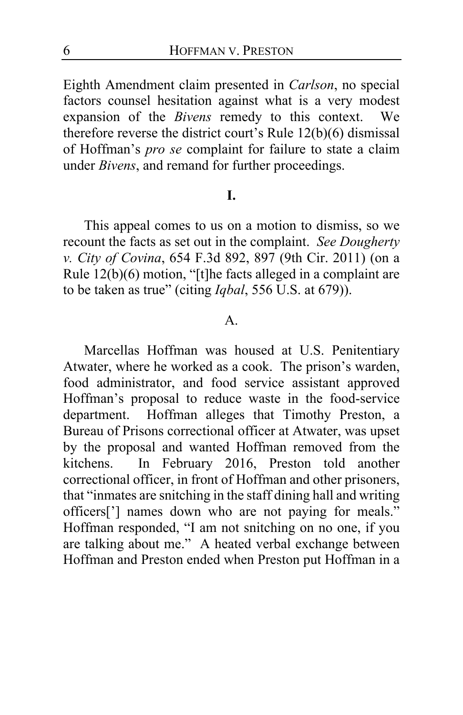Eighth Amendment claim presented in *Carlson*, no special factors counsel hesitation against what is a very modest expansion of the *Bivens* remedy to this context. We therefore reverse the district court's Rule 12(b)(6) dismissal of Hoffman's *pro se* complaint for failure to state a claim under *Bivens*, and remand for further proceedings.

## **I.**

This appeal comes to us on a motion to dismiss, so we recount the facts as set out in the complaint. *See Dougherty v. City of Covina*, 654 F.3d 892, 897 (9th Cir. 2011) (on a Rule 12(b)(6) motion, "[t]he facts alleged in a complaint are to be taken as true" (citing *Iqbal*, 556 U.S. at 679)).

# A.

Marcellas Hoffman was housed at U.S. Penitentiary Atwater, where he worked as a cook. The prison's warden, food administrator, and food service assistant approved Hoffman's proposal to reduce waste in the food-service department. Hoffman alleges that Timothy Preston, a Bureau of Prisons correctional officer at Atwater, was upset by the proposal and wanted Hoffman removed from the kitchens. In February 2016, Preston told another correctional officer, in front of Hoffman and other prisoners, that "inmates are snitching in the staff dining hall and writing officers['] names down who are not paying for meals." Hoffman responded, "I am not snitching on no one, if you are talking about me." A heated verbal exchange between Hoffman and Preston ended when Preston put Hoffman in a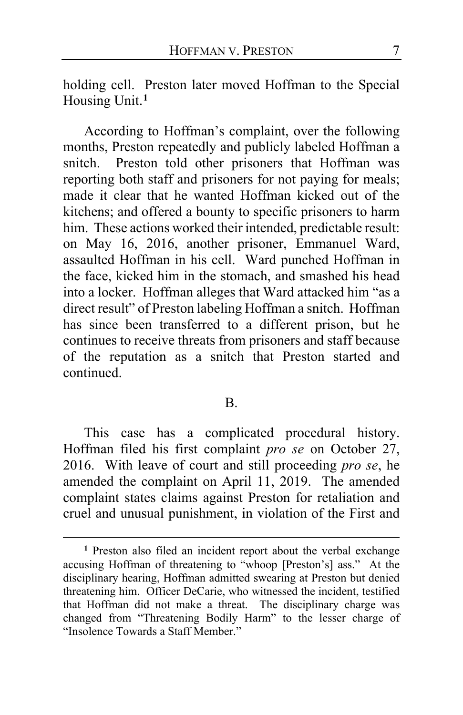holding cell. Preston later moved Hoffman to the Special Housing Unit.**[1](#page-6-0)**

According to Hoffman's complaint, over the following months, Preston repeatedly and publicly labeled Hoffman a snitch. Preston told other prisoners that Hoffman was reporting both staff and prisoners for not paying for meals; made it clear that he wanted Hoffman kicked out of the kitchens; and offered a bounty to specific prisoners to harm him. These actions worked their intended, predictable result: on May 16, 2016, another prisoner, Emmanuel Ward, assaulted Hoffman in his cell. Ward punched Hoffman in the face, kicked him in the stomach, and smashed his head into a locker. Hoffman alleges that Ward attacked him "as a direct result" of Preston labeling Hoffman a snitch. Hoffman has since been transferred to a different prison, but he continues to receive threats from prisoners and staff because of the reputation as a snitch that Preston started and continued.

#### B.

This case has a complicated procedural history. Hoffman filed his first complaint *pro se* on October 27, 2016. With leave of court and still proceeding *pro se*, he amended the complaint on April 11, 2019. The amended complaint states claims against Preston for retaliation and cruel and unusual punishment, in violation of the First and

<span id="page-6-0"></span>**<sup>1</sup>** Preston also filed an incident report about the verbal exchange accusing Hoffman of threatening to "whoop [Preston's] ass." At the disciplinary hearing, Hoffman admitted swearing at Preston but denied threatening him. Officer DeCarie, who witnessed the incident, testified that Hoffman did not make a threat. The disciplinary charge was changed from "Threatening Bodily Harm" to the lesser charge of "Insolence Towards a Staff Member."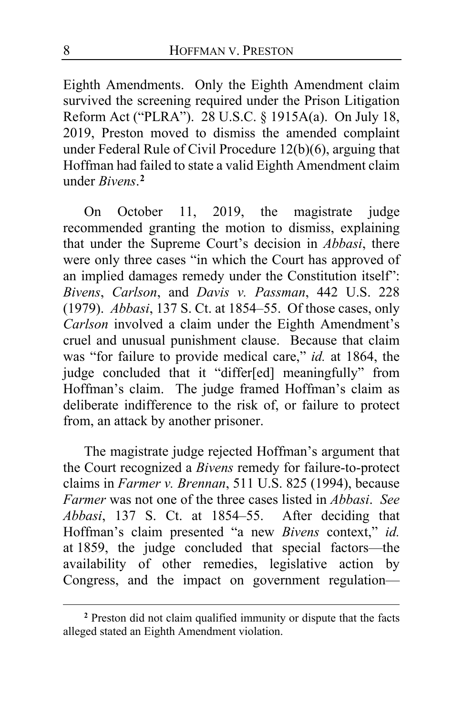Eighth Amendments. Only the Eighth Amendment claim survived the screening required under the Prison Litigation Reform Act ("PLRA"). 28 U.S.C. § 1915A(a). On July 18, 2019, Preston moved to dismiss the amended complaint under Federal Rule of Civil Procedure 12(b)(6), arguing that Hoffman had failed to state a valid Eighth Amendment claim under *Bivens*. **[2](#page-7-0)**

On October 11, 2019, the magistrate judge recommended granting the motion to dismiss, explaining that under the Supreme Court's decision in *Abbasi*, there were only three cases "in which the Court has approved of an implied damages remedy under the Constitution itself": *Bivens*, *Carlson*, and *Davis v. Passman*, 442 U.S. 228 (1979).*Abbasi*, 137 S. Ct. at 1854–55. Of those cases, only *Carlson* involved a claim under the Eighth Amendment's cruel and unusual punishment clause. Because that claim was "for failure to provide medical care," *id.* at 1864, the judge concluded that it "differ[ed] meaningfully" from Hoffman's claim. The judge framed Hoffman's claim as deliberate indifference to the risk of, or failure to protect from, an attack by another prisoner.

The magistrate judge rejected Hoffman's argument that the Court recognized a *Bivens* remedy for failure-to-protect claims in *Farmer v. Brennan*, 511 U.S. 825 (1994), because *Farmer* was not one of the three cases listed in *Abbasi*. *See Abbasi*, 137 S. Ct. at 1854–55. After deciding that Hoffman's claim presented "a new *Bivens* context," *id.*  at 1859, the judge concluded that special factors—the availability of other remedies, legislative action by Congress, and the impact on government regulation—

<span id="page-7-0"></span>**<sup>2</sup>** Preston did not claim qualified immunity or dispute that the facts alleged stated an Eighth Amendment violation.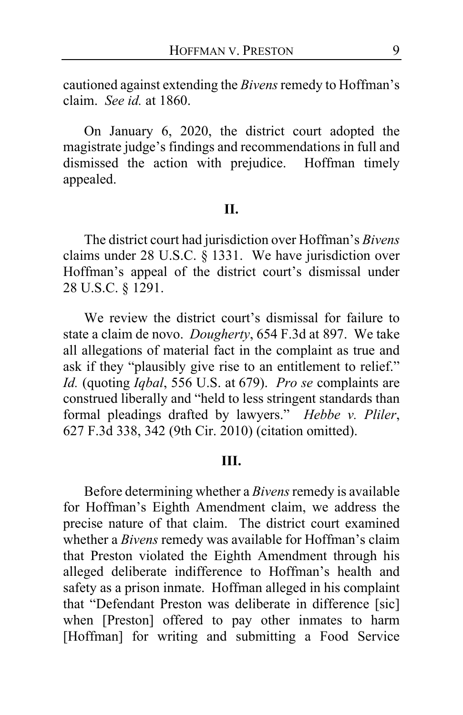cautioned against extending the *Bivens*remedy to Hoffman's claim. *See id.* at 1860.

On January 6, 2020, the district court adopted the magistrate judge's findings and recommendations in full and dismissed the action with prejudice. Hoffman timely appealed.

## **II.**

The district court had jurisdiction over Hoffman's *Bivens* claims under 28 U.S.C. § 1331. We have jurisdiction over Hoffman's appeal of the district court's dismissal under 28 U.S.C. § 1291.

We review the district court's dismissal for failure to state a claim de novo. *Dougherty*, 654 F.3d at 897. We take all allegations of material fact in the complaint as true and ask if they "plausibly give rise to an entitlement to relief." *Id.* (quoting *Iqbal*, 556 U.S. at 679). *Pro se* complaints are construed liberally and "held to less stringent standards than formal pleadings drafted by lawyers." *Hebbe v. Pliler*, 627 F.3d 338, 342 (9th Cir. 2010) (citation omitted).

#### **III.**

Before determining whether a *Bivens* remedy is available for Hoffman's Eighth Amendment claim, we address the precise nature of that claim. The district court examined whether a *Bivens* remedy was available for Hoffman's claim that Preston violated the Eighth Amendment through his alleged deliberate indifference to Hoffman's health and safety as a prison inmate. Hoffman alleged in his complaint that "Defendant Preston was deliberate in difference [sic] when [Preston] offered to pay other inmates to harm [Hoffman] for writing and submitting a Food Service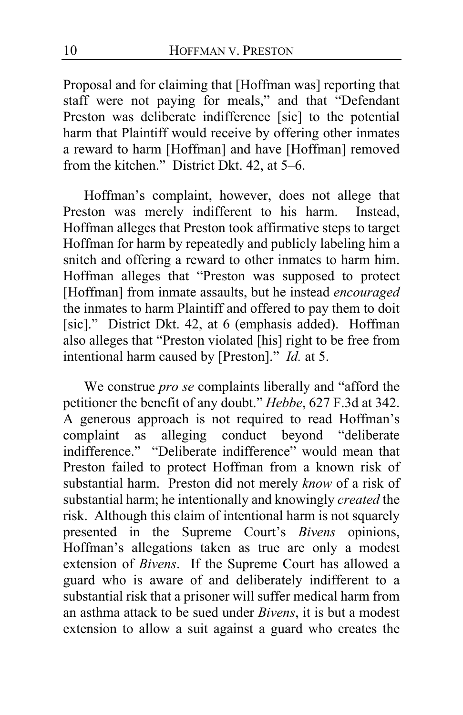Proposal and for claiming that [Hoffman was] reporting that staff were not paying for meals," and that "Defendant Preston was deliberate indifference [sic] to the potential harm that Plaintiff would receive by offering other inmates a reward to harm [Hoffman] and have [Hoffman] removed from the kitchen." District Dkt. 42, at 5–6.

Hoffman's complaint, however, does not allege that Preston was merely indifferent to his harm. Instead, Hoffman alleges that Preston took affirmative steps to target Hoffman for harm by repeatedly and publicly labeling him a snitch and offering a reward to other inmates to harm him. Hoffman alleges that "Preston was supposed to protect [Hoffman] from inmate assaults, but he instead *encouraged* the inmates to harm Plaintiff and offered to pay them to doit [sic]." District Dkt. 42, at 6 (emphasis added). Hoffman also alleges that "Preston violated [his] right to be free from intentional harm caused by [Preston]." *Id.* at 5.

We construe *pro se* complaints liberally and "afford the petitioner the benefit of any doubt." *Hebbe*, 627 F.3d at 342. A generous approach is not required to read Hoffman's complaint as alleging conduct beyond "deliberate alleging conduct beyond "deliberate indifference." "Deliberate indifference" would mean that Preston failed to protect Hoffman from a known risk of substantial harm. Preston did not merely *know* of a risk of substantial harm; he intentionally and knowingly *created* the risk. Although this claim of intentional harm is not squarely presented in the Supreme Court's *Bivens* opinions, Hoffman's allegations taken as true are only a modest extension of *Bivens*. If the Supreme Court has allowed a guard who is aware of and deliberately indifferent to a substantial risk that a prisoner will suffer medical harm from an asthma attack to be sued under *Bivens*, it is but a modest extension to allow a suit against a guard who creates the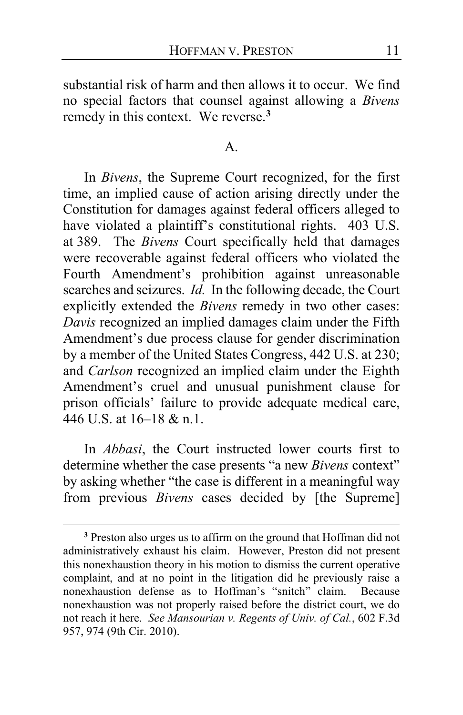substantial risk of harm and then allows it to occur.We find no special factors that counsel against allowing a *Bivens*  remedy in this context. We reverse.**[3](#page-10-0)**

#### A.

In *Bivens*, the Supreme Court recognized, for the first time, an implied cause of action arising directly under the Constitution for damages against federal officers alleged to have violated a plaintiff's constitutional rights. 403 U.S. at 389. The *Bivens* Court specifically held that damages were recoverable against federal officers who violated the Fourth Amendment's prohibition against unreasonable searches and seizures. *Id.* In the following decade, the Court explicitly extended the *Bivens* remedy in two other cases: *Davis* recognized an implied damages claim under the Fifth Amendment's due process clause for gender discrimination by a member of the United States Congress, 442 U.S. at 230; and *Carlson* recognized an implied claim under the Eighth Amendment's cruel and unusual punishment clause for prison officials' failure to provide adequate medical care, 446 U.S. at 16–18 & n.1.

In *Abbasi*, the Court instructed lower courts first to determine whether the case presents "a new *Bivens* context" by asking whether "the case is different in a meaningful way from previous *Bivens* cases decided by [the Supreme]

<span id="page-10-0"></span>**<sup>3</sup>** Preston also urges us to affirm on the ground that Hoffman did not administratively exhaust his claim. However, Preston did not present this nonexhaustion theory in his motion to dismiss the current operative complaint, and at no point in the litigation did he previously raise a nonexhaustion defense as to Hoffman's "snitch" claim. Because nonexhaustion was not properly raised before the district court, we do not reach it here. *See Mansourian v. Regents of Univ. of Cal.*, 602 F.3d 957, 974 (9th Cir. 2010).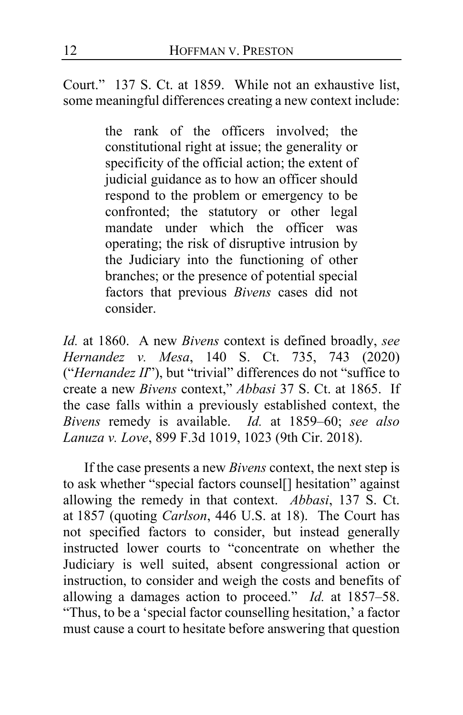Court." 137 S. Ct. at 1859. While not an exhaustive list, some meaningful differences creating a new context include:

> the rank of the officers involved; the constitutional right at issue; the generality or specificity of the official action; the extent of judicial guidance as to how an officer should respond to the problem or emergency to be confronted; the statutory or other legal mandate under which the officer was operating; the risk of disruptive intrusion by the Judiciary into the functioning of other branches; or the presence of potential special factors that previous *Bivens* cases did not consider.

*Id.* at 1860. A new *Bivens* context is defined broadly, *see Hernandez v. Mesa*, 140 S. Ct. 735, 743 (2020) ("*Hernandez II*"), but "trivial" differences do not "suffice to create a new *Bivens* context," *Abbasi* 37 S. Ct. at 1865. If the case falls within a previously established context, the *Bivens* remedy is available. *Id.* at 1859–60; *see also Lanuza v. Love*, 899 F.3d 1019, 1023 (9th Cir. 2018).

If the case presents a new *Bivens* context, the next step is to ask whether "special factors counsel[] hesitation" against allowing the remedy in that context. *Abbasi*, 137 S. Ct. at 1857 (quoting *Carlson*, 446 U.S. at 18). The Court has not specified factors to consider, but instead generally instructed lower courts to "concentrate on whether the Judiciary is well suited, absent congressional action or instruction, to consider and weigh the costs and benefits of allowing a damages action to proceed." *Id.* at 1857–58. "Thus, to be a 'special factor counselling hesitation,' a factor must cause a court to hesitate before answering that question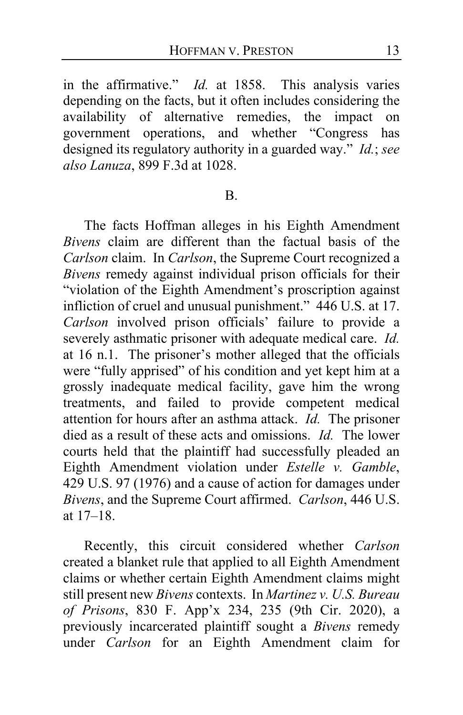in the affirmative." *Id.* at 1858. This analysis varies depending on the facts, but it often includes considering the availability of alternative remedies, the impact on government operations, and whether "Congress has designed its regulatory authority in a guarded way." *Id.*; *see also Lanuza*, 899 F.3d at 1028.

#### B.

The facts Hoffman alleges in his Eighth Amendment *Bivens* claim are different than the factual basis of the *Carlson* claim. In *Carlson*, the Supreme Court recognized a *Bivens* remedy against individual prison officials for their "violation of the Eighth Amendment's proscription against infliction of cruel and unusual punishment." 446 U.S. at 17. *Carlson* involved prison officials' failure to provide a severely asthmatic prisoner with adequate medical care. *Id.* at 16 n.1. The prisoner's mother alleged that the officials were "fully apprised" of his condition and yet kept him at a grossly inadequate medical facility, gave him the wrong treatments, and failed to provide competent medical attention for hours after an asthma attack. *Id.* The prisoner died as a result of these acts and omissions. *Id.* The lower courts held that the plaintiff had successfully pleaded an Eighth Amendment violation under *Estelle v. Gamble*, 429 U.S. 97 (1976) and a cause of action for damages under *Bivens*, and the Supreme Court affirmed. *Carlson*, 446 U.S. at 17–18.

Recently, this circuit considered whether *Carlson* created a blanket rule that applied to all Eighth Amendment claims or whether certain Eighth Amendment claims might still present new *Bivens* contexts. In *Martinez v. U.S. Bureau of Prisons*, 830 F. App'x 234, 235 (9th Cir. 2020), a previously incarcerated plaintiff sought a *Bivens* remedy under *Carlson* for an Eighth Amendment claim for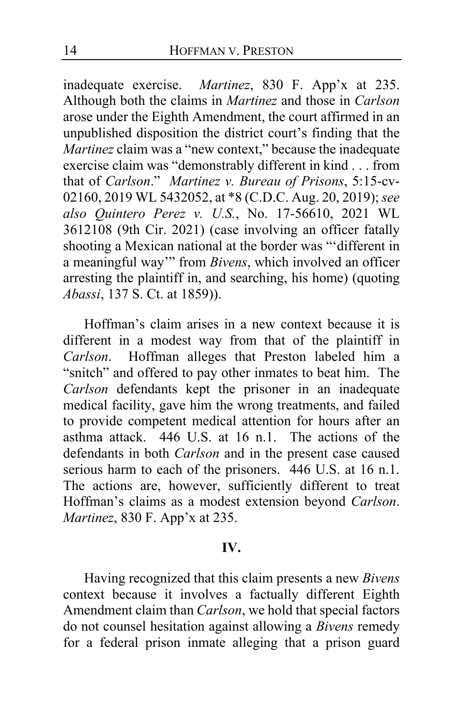inadequate exercise. *Martinez*, 830 F. App'x at 235. Although both the claims in *Martinez* and those in *Carlson* arose under the Eighth Amendment, the court affirmed in an unpublished disposition the district court's finding that the *Martinez* claim was a "new context," because the inadequate exercise claim was "demonstrably different in kind . . . from that of *Carlson*." *Martinez v. Bureau of Prisons*, 5:15-cv-02160, 2019 WL 5432052, at \*8 (C.D.C. Aug. 20, 2019); *see also Quintero Perez v. U.S.*, No. 17-56610, 2021 WL 3612108 (9th Cir. 2021) (case involving an officer fatally shooting a Mexican national at the border was "'different in a meaningful way'" from *Bivens*, which involved an officer arresting the plaintiff in, and searching, his home) (quoting *Abassi*, 137 S. Ct. at 1859)).

Hoffman's claim arises in a new context because it is different in a modest way from that of the plaintiff in *Carlson*. Hoffman alleges that Preston labeled him a *Carlson*. Hoffman alleges that Preston labeled him a "snitch" and offered to pay other inmates to beat him.The *Carlson* defendants kept the prisoner in an inadequate medical facility, gave him the wrong treatments, and failed to provide competent medical attention for hours after an asthma attack. 446 U.S. at 16 n.1. The actions of the defendants in both *Carlson* and in the present case caused serious harm to each of the prisoners. 446 U.S. at 16 n.1. The actions are, however, sufficiently different to treat Hoffman's claims as a modest extension beyond *Carlson*. *Martinez*, 830 F. App'x at 235.

#### **IV.**

Having recognized that this claim presents a new *Bivens*  context because it involves a factually different Eighth Amendment claim than *Carlson*, we hold that special factors do not counsel hesitation against allowing a *Bivens* remedy for a federal prison inmate alleging that a prison guard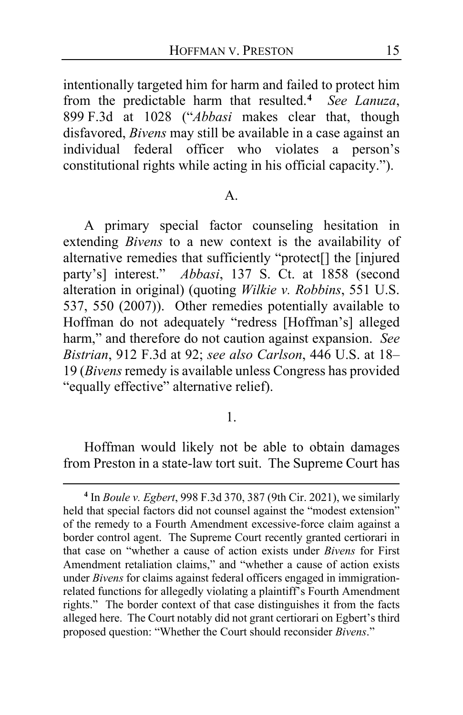intentionally targeted him for harm and failed to protect him from the predictable harm that resulted.**[4](#page-14-0)** *See Lanuza*, 899 F.3d at 1028 ("*Abbasi* makes clear that, though disfavored, *Bivens* may still be available in a case against an individual federal officer who violates a person's constitutional rights while acting in his official capacity.").

## A.

A primary special factor counseling hesitation in extending *Bivens* to a new context is the availability of alternative remedies that sufficiently "protect[] the [injured party's] interest." *Abbasi*, 137 S. Ct. at 1858 (second alteration in original) (quoting *Wilkie v. Robbins*, 551 U.S. 537, 550 (2007)). Other remedies potentially available to Hoffman do not adequately "redress [Hoffman's] alleged harm," and therefore do not caution against expansion. *See Bistrian*, 912 F.3d at 92; *see also Carlson*, 446 U.S. at 18– 19 (*Bivens* remedy is available unless Congress has provided "equally effective" alternative relief).

# 1.

Hoffman would likely not be able to obtain damages from Preston in a state-law tort suit. The Supreme Court has

<span id="page-14-0"></span>**<sup>4</sup>** In *Boule v. Egbert*, 998 F.3d 370, 387 (9th Cir. 2021), we similarly held that special factors did not counsel against the "modest extension" of the remedy to a Fourth Amendment excessive-force claim against a border control agent. The Supreme Court recently granted certiorari in that case on "whether a cause of action exists under *Bivens* for First Amendment retaliation claims," and "whether a cause of action exists under *Bivens* for claims against federal officers engaged in immigrationrelated functions for allegedly violating a plaintiff's Fourth Amendment rights." The border context of that case distinguishes it from the facts alleged here. The Court notably did not grant certiorari on Egbert's third proposed question: "Whether the Court should reconsider *Bivens*."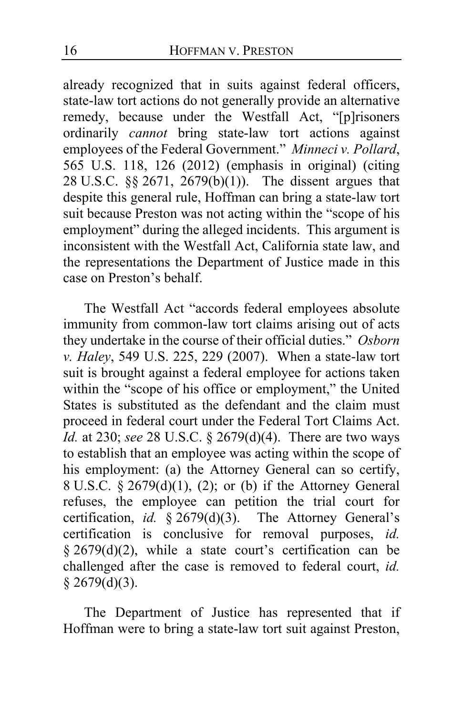already recognized that in suits against federal officers, state-law tort actions do not generally provide an alternative remedy, because under the Westfall Act, "[p]risoners ordinarily *cannot* bring state-law tort actions against employees of the Federal Government." *Minneci v. Pollard*, 565 U.S. 118, 126 (2012) (emphasis in original) (citing 28 U.S.C. §§ 2671, 2679(b)(1)). The dissent argues that despite this general rule, Hoffman can bring a state-law tort suit because Preston was not acting within the "scope of his employment" during the alleged incidents. This argument is inconsistent with the Westfall Act, California state law, and the representations the Department of Justice made in this case on Preston's behalf.

The Westfall Act "accords federal employees absolute immunity from common-law tort claims arising out of acts they undertake in the course of their official duties." *Osborn v. Haley*, 549 U.S. 225, 229 (2007). When a state-law tort suit is brought against a federal employee for actions taken within the "scope of his office or employment," the United States is substituted as the defendant and the claim must proceed in federal court under the Federal Tort Claims Act. *Id.* at 230; *see* 28 U.S.C. § 2679(d)(4). There are two ways to establish that an employee was acting within the scope of his employment: (a) the Attorney General can so certify, 8 U.S.C.  $\frac{5}{5}$  2679(d)(1), (2); or (b) if the Attorney General refuses, the employee can petition the trial court for certification, *id.* § 2679(d)(3). The Attorney General's certification is conclusive for removal purposes, *id.* § 2679(d)(2), while a state court's certification can be challenged after the case is removed to federal court, *id.*  $§$  2679(d)(3).

The Department of Justice has represented that if Hoffman were to bring a state-law tort suit against Preston,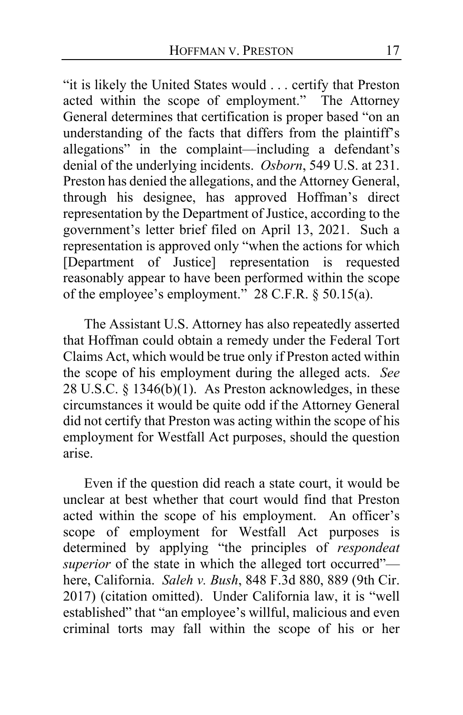"it is likely the United States would . . . certify that Preston acted within the scope of employment." The Attorney General determines that certification is proper based "on an understanding of the facts that differs from the plaintiff's allegations" in the complaint—including a defendant's denial of the underlying incidents. *Osborn*, 549 U.S. at 231. Preston has denied the allegations, and the Attorney General, through his designee, has approved Hoffman's direct representation by the Department of Justice, according to the government's letter brief filed on April 13, 2021. Such a representation is approved only "when the actions for which [Department of Justice] representation is requested reasonably appear to have been performed within the scope of the employee's employment." 28 C.F.R. § 50.15(a).

The Assistant U.S. Attorney has also repeatedly asserted that Hoffman could obtain a remedy under the Federal Tort Claims Act, which would be true only if Preston acted within the scope of his employment during the alleged acts. *See*  28 U.S.C.  $\S$  1346(b)(1). As Preston acknowledges, in these circumstances it would be quite odd if the Attorney General did not certify that Preston was acting within the scope of his employment for Westfall Act purposes, should the question arise.

Even if the question did reach a state court, it would be unclear at best whether that court would find that Preston acted within the scope of his employment. An officer's scope of employment for Westfall Act purposes is determined by applying "the principles of *respondeat superior* of the state in which the alleged tort occurred" here, California. *Saleh v. Bush*, 848 F.3d 880, 889 (9th Cir. 2017) (citation omitted). Under California law, it is "well established" that "an employee's willful, malicious and even criminal torts may fall within the scope of his or her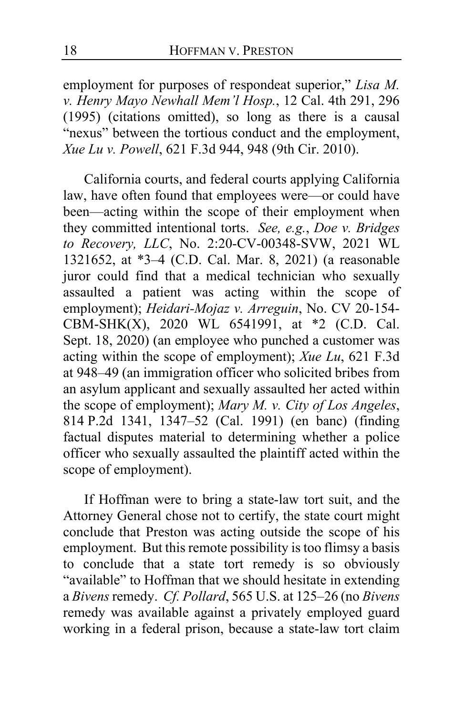employment for purposes of respondeat superior," *Lisa M. v. Henry Mayo Newhall Mem'l Hosp.*, 12 Cal. 4th 291, 296 (1995) (citations omitted), so long as there is a causal "nexus" between the tortious conduct and the employment, *Xue Lu v. Powell*, 621 F.3d 944, 948 (9th Cir. 2010).

California courts, and federal courts applying California law, have often found that employees were—or could have been—acting within the scope of their employment when they committed intentional torts. *See, e.g.*, *Doe v. Bridges to Recovery, LLC*, No. 2:20-CV-00348-SVW, 2021 WL 1321652, at \*3–4 (C.D. Cal. Mar. 8, 2021) (a reasonable juror could find that a medical technician who sexually assaulted a patient was acting within the scope of employment); *Heidari-Mojaz v. Arreguin*, No. CV 20-154- CBM-SHK(X), 2020 WL 6541991, at \*2 (C.D. Cal. Sept. 18, 2020) (an employee who punched a customer was acting within the scope of employment); *Xue Lu*, 621 F.3d at 948–49 (an immigration officer who solicited bribes from an asylum applicant and sexually assaulted her acted within the scope of employment); *Mary M. v. City of Los Angeles*, 814 P.2d 1341, 1347–52 (Cal. 1991) (en banc) (finding factual disputes material to determining whether a police officer who sexually assaulted the plaintiff acted within the scope of employment).

If Hoffman were to bring a state-law tort suit, and the Attorney General chose not to certify, the state court might conclude that Preston was acting outside the scope of his employment. But this remote possibility is too flimsy a basis to conclude that a state tort remedy is so obviously "available" to Hoffman that we should hesitate in extending a *Bivens*remedy. *Cf. Pollard*, 565 U.S. at 125–26 (no *Bivens*  remedy was available against a privately employed guard working in a federal prison, because a state-law tort claim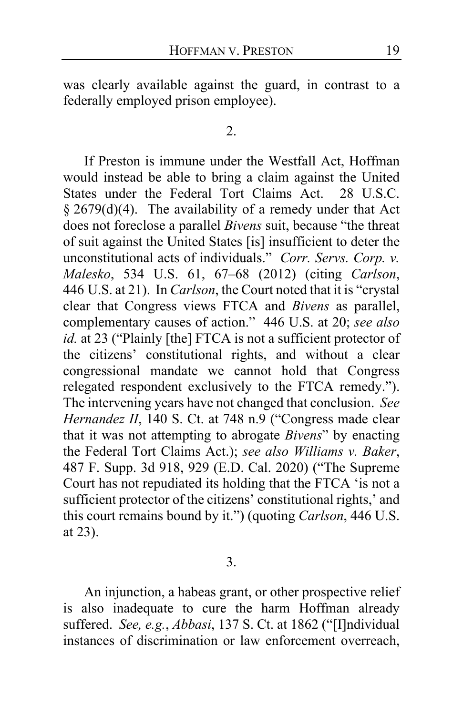was clearly available against the guard, in contrast to a federally employed prison employee).

#### 2.

If Preston is immune under the Westfall Act, Hoffman would instead be able to bring a claim against the United States under the Federal Tort Claims Act. 28 U.S.C. § 2679(d)(4). The availability of a remedy under that Act does not foreclose a parallel *Bivens* suit, because "the threat of suit against the United States [is] insufficient to deter the unconstitutional acts of individuals." *Corr. Servs. Corp. v. Malesko*, 534 U.S. 61, 67–68 (2012) (citing *Carlson*, 446 U.S. at 21). In *Carlson*, the Court noted that it is "crystal clear that Congress views FTCA and *Bivens* as parallel, complementary causes of action." 446 U.S. at 20; *see also id.* at 23 ("Plainly [the] FTCA is not a sufficient protector of the citizens' constitutional rights, and without a clear congressional mandate we cannot hold that Congress relegated respondent exclusively to the FTCA remedy."). The intervening years have not changed that conclusion. *See Hernandez II*, 140 S. Ct. at 748 n.9 ("Congress made clear that it was not attempting to abrogate *Bivens*" by enacting the Federal Tort Claims Act.); *see also Williams v. Baker*, 487 F. Supp. 3d 918, 929 (E.D. Cal. 2020) ("The Supreme Court has not repudiated its holding that the FTCA 'is not a sufficient protector of the citizens' constitutional rights,' and this court remains bound by it.") (quoting *Carlson*, 446 U.S. at 23).

3.

An injunction, a habeas grant, or other prospective relief is also inadequate to cure the harm Hoffman already suffered. *See, e.g.*, *Abbasi*, 137 S. Ct. at 1862 ("[I]ndividual instances of discrimination or law enforcement overreach,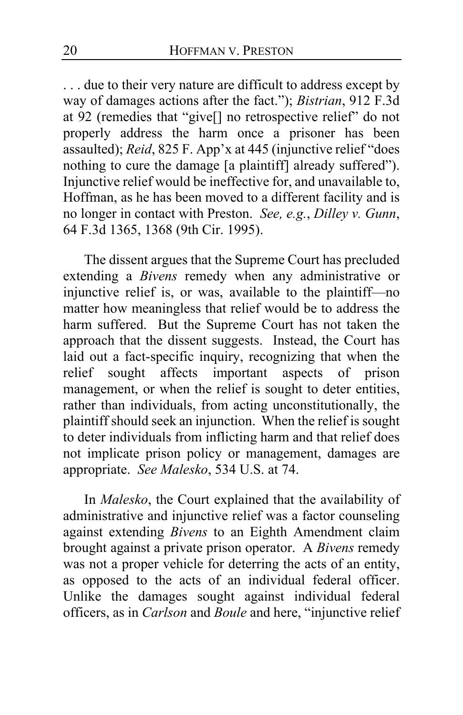. . . due to their very nature are difficult to address except by way of damages actions after the fact."); *Bistrian*, 912 F.3d at 92 (remedies that "give[] no retrospective relief" do not properly address the harm once a prisoner has been assaulted); *Reid*, 825 F. App'x at 445 (injunctive relief "does nothing to cure the damage [a plaintiff] already suffered"). Injunctive relief would be ineffective for, and unavailable to, Hoffman, as he has been moved to a different facility and is no longer in contact with Preston. *See, e.g.*, *Dilley v. Gunn*, 64 F.3d 1365, 1368 (9th Cir. 1995).

The dissent argues that the Supreme Court has precluded extending a *Bivens* remedy when any administrative or injunctive relief is, or was, available to the plaintiff—no matter how meaningless that relief would be to address the harm suffered. But the Supreme Court has not taken the approach that the dissent suggests. Instead, the Court has laid out a fact-specific inquiry, recognizing that when the relief sought affects important aspects of prison management, or when the relief is sought to deter entities, rather than individuals, from acting unconstitutionally, the plaintiff should seek an injunction. When the relief is sought to deter individuals from inflicting harm and that relief does not implicate prison policy or management, damages are appropriate. *See Malesko*, 534 U.S. at 74.

In *Malesko*, the Court explained that the availability of administrative and injunctive relief was a factor counseling against extending *Bivens* to an Eighth Amendment claim brought against a private prison operator. A *Bivens* remedy was not a proper vehicle for deterring the acts of an entity, as opposed to the acts of an individual federal officer. Unlike the damages sought against individual federal officers, as in *Carlson* and *Boule* and here, "injunctive relief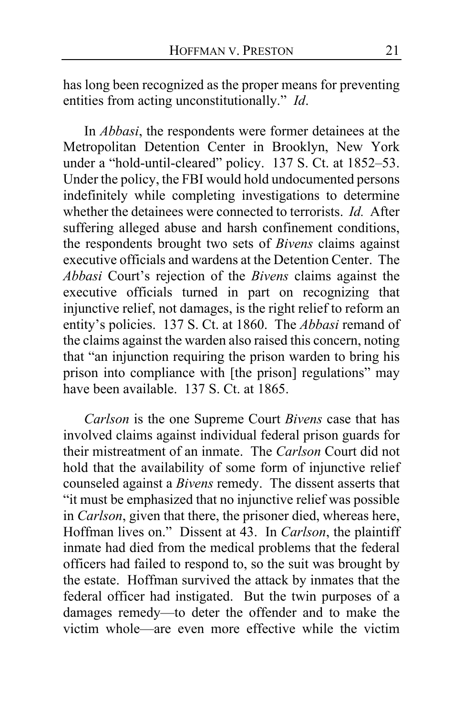has long been recognized as the proper means for preventing entities from acting unconstitutionally." *Id*.

In *Abbasi*, the respondents were former detainees at the Metropolitan Detention Center in Brooklyn, New York under a "hold-until-cleared" policy. 137 S. Ct. at 1852–53. Under the policy, the FBI would hold undocumented persons indefinitely while completing investigations to determine whether the detainees were connected to terrorists. *Id.* After suffering alleged abuse and harsh confinement conditions, the respondents brought two sets of *Bivens* claims against executive officials and wardens at the Detention Center. The *Abbasi* Court's rejection of the *Bivens* claims against the executive officials turned in part on recognizing that injunctive relief, not damages, is the right relief to reform an entity's policies. 137 S. Ct. at 1860. The *Abbasi* remand of the claims against the warden also raised this concern, noting that "an injunction requiring the prison warden to bring his prison into compliance with [the prison] regulations" may have been available. 137 S. Ct. at 1865.

*Carlson* is the one Supreme Court *Bivens* case that has involved claims against individual federal prison guards for their mistreatment of an inmate. The *Carlson* Court did not hold that the availability of some form of injunctive relief counseled against a *Bivens* remedy. The dissent asserts that "it must be emphasized that no injunctive relief was possible in *Carlson*, given that there, the prisoner died, whereas here, Hoffman lives on." Dissent at [43.](#page-42-0) In *Carlson*, the plaintiff inmate had died from the medical problems that the federal officers had failed to respond to, so the suit was brought by the estate. Hoffman survived the attack by inmates that the federal officer had instigated. But the twin purposes of a damages remedy—to deter the offender and to make the victim whole—are even more effective while the victim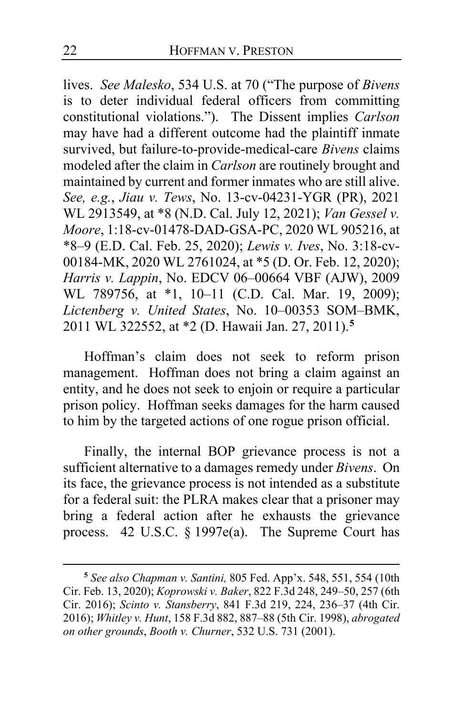lives. *See Malesko*, 534 U.S. at 70 ("The purpose of *Bivens* is to deter individual federal officers from committing constitutional violations."). The Dissent implies *Carlson* may have had a different outcome had the plaintiff inmate survived, but failure-to-provide-medical-care *Bivens* claims modeled after the claim in *Carlson* are routinely brought and maintained by current and former inmates who are still alive. *See, e.g.*, *Jiau v. Tews*, No. 13-cv-04231-YGR (PR), 2021 WL 2913549, at \*8 (N.D. Cal. July 12, 2021); *Van Gessel v. Moore*, 1:18-cv-01478-DAD-GSA-PC, 2020 WL 905216, at \*8–9 (E.D. Cal. Feb. 25, 2020); *Lewis v. Ives*, No. 3:18-cv-00184-MK, 2020 WL 2761024, at \*5 (D. Or. Feb. 12, 2020); *Harris v. Lappin*, No. EDCV 06–00664 VBF (AJW), 2009 WL 789756, at \*1, 10–11 (C.D. Cal. Mar. 19, 2009); *Lictenberg v. United States*, No. 10–00353 SOM–BMK, 2011 WL 322552, at \*2 (D. Hawaii Jan. 27, 2011).**[5](#page-21-0)**

Hoffman's claim does not seek to reform prison management. Hoffman does not bring a claim against an entity, and he does not seek to enjoin or require a particular prison policy. Hoffman seeks damages for the harm caused to him by the targeted actions of one rogue prison official.

Finally, the internal BOP grievance process is not a sufficient alternative to a damages remedy under *Bivens*. On its face, the grievance process is not intended as a substitute for a federal suit: the PLRA makes clear that a prisoner may bring a federal action after he exhausts the grievance process. 42 U.S.C. § 1997e(a). The Supreme Court has

<span id="page-21-0"></span>**<sup>5</sup>** *See also Chapman v. Santini,* 805 Fed. App'x. 548, 551, 554 (10th Cir. Feb. 13, 2020); *Koprowski v. Baker*, 822 F.3d 248, 249–50, 257 (6th Cir. 2016); *Scinto v. Stansberry*, 841 F.3d 219, 224, 236–37 (4th Cir. 2016); *Whitley v. Hunt*, 158 F.3d 882, 887–88 (5th Cir. 1998), *abrogated on other grounds*, *Booth v. Churner*, 532 U.S. 731 (2001).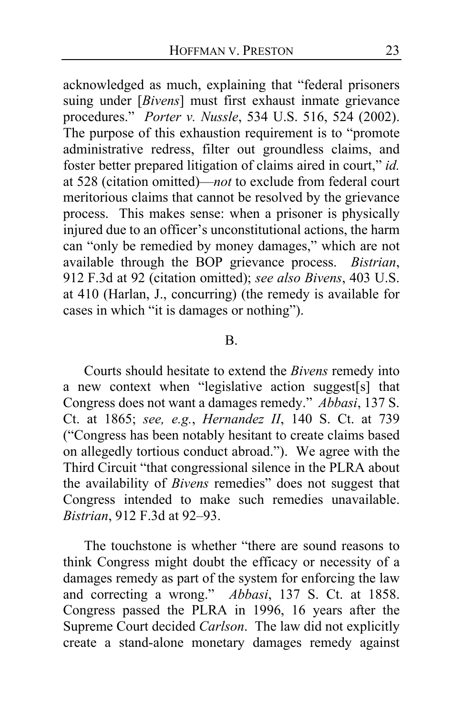acknowledged as much, explaining that "federal prisoners suing under [*Bivens*] must first exhaust inmate grievance procedures." *Porter v. Nussle*, 534 U.S. 516, 524 (2002). The purpose of this exhaustion requirement is to "promote administrative redress, filter out groundless claims, and foster better prepared litigation of claims aired in court," *id.*  at 528 (citation omitted)—*not* to exclude from federal court meritorious claims that cannot be resolved by the grievance process. This makes sense: when a prisoner is physically injured due to an officer's unconstitutional actions, the harm can "only be remedied by money damages," which are not available through the BOP grievance process. *Bistrian*, 912 F.3d at 92 (citation omitted); *see also Bivens*, 403 U.S. at 410 (Harlan, J., concurring) (the remedy is available for cases in which "it is damages or nothing").

## B.

Courts should hesitate to extend the *Bivens* remedy into a new context when "legislative action suggest[s] that Congress does not want a damages remedy." *Abbasi*, 137 S. Ct. at 1865; *see, e.g.*, *Hernandez II*, 140 S. Ct. at 739 ("Congress has been notably hesitant to create claims based on allegedly tortious conduct abroad."). We agree with the Third Circuit "that congressional silence in the PLRA about the availability of *Bivens* remedies" does not suggest that Congress intended to make such remedies unavailable. *Bistrian*, 912 F.3d at 92–93.

The touchstone is whether "there are sound reasons to think Congress might doubt the efficacy or necessity of a damages remedy as part of the system for enforcing the law and correcting a wrong." *Abbasi*, 137 S. Ct. at 1858. Congress passed the PLRA in 1996, 16 years after the Supreme Court decided *Carlson*. The law did not explicitly create a stand-alone monetary damages remedy against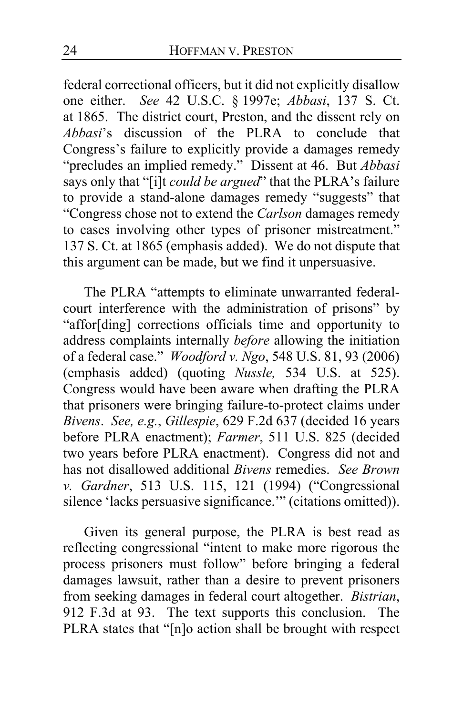federal correctional officers, but it did not explicitly disallow one either. *See* 42 U.S.C. § 1997e; *Abbasi*, 137 S. Ct. at 1865. The district court, Preston, and the dissent rely on *Abbasi*'s discussion of the PLRA to conclude that Congress's failure to explicitly provide a damages remedy "precludes an implied remedy." Dissent at [46.](#page-45-0) But *Abbasi* says only that "[i]t *could be argued*" that the PLRA's failure to provide a stand-alone damages remedy "suggests" that "Congress chose not to extend the *Carlson* damages remedy to cases involving other types of prisoner mistreatment." 137 S. Ct. at 1865 (emphasis added). We do not dispute that this argument can be made, but we find it unpersuasive.

The PLRA "attempts to eliminate unwarranted federalcourt interference with the administration of prisons" by "affor[ding] corrections officials time and opportunity to address complaints internally *before* allowing the initiation of a federal case." *Woodford v. Ngo*, 548 U.S. 81, 93 (2006) (emphasis added) (quoting *Nussle,* 534 U.S. at 525). Congress would have been aware when drafting the PLRA that prisoners were bringing failure-to-protect claims under *Bivens*. *See, e.g.*, *Gillespie*, 629 F.2d 637 (decided 16 years before PLRA enactment); *Farmer*, 511 U.S. 825 (decided two years before PLRA enactment). Congress did not and has not disallowed additional *Bivens* remedies. *See Brown v. Gardner*, 513 U.S. 115, 121 (1994) ("Congressional silence 'lacks persuasive significance.'" (citations omitted)).

Given its general purpose, the PLRA is best read as reflecting congressional "intent to make more rigorous the process prisoners must follow" before bringing a federal damages lawsuit, rather than a desire to prevent prisoners from seeking damages in federal court altogether. *Bistrian*, 912 F.3d at 93. The text supports this conclusion. The PLRA states that "[n]o action shall be brought with respect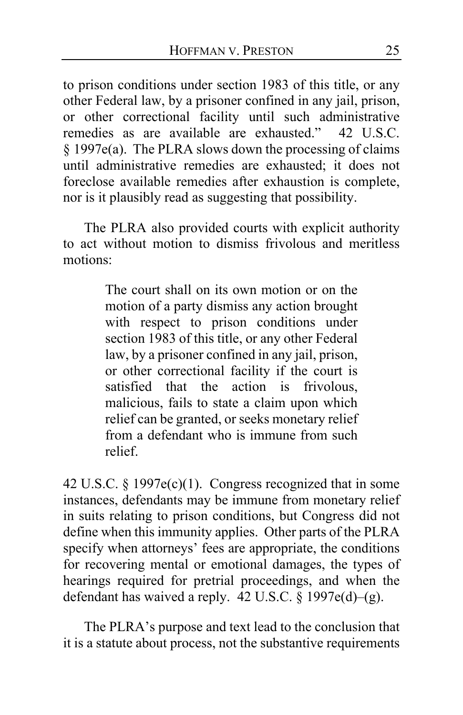to prison conditions under section 1983 of this title, or any other Federal law, by a prisoner confined in any jail, prison, or other correctional facility until such administrative remedies as are available are exhausted." 42 U.S.C. § 1997e(a). The PLRA slows down the processing of claims until administrative remedies are exhausted; it does not foreclose available remedies after exhaustion is complete, nor is it plausibly read as suggesting that possibility.

The PLRA also provided courts with explicit authority to act without motion to dismiss frivolous and meritless motions:

> The court shall on its own motion or on the motion of a party dismiss any action brought with respect to prison conditions under section 1983 of this title, or any other Federal law, by a prisoner confined in any jail, prison, or other correctional facility if the court is satisfied that the action is frivolous, malicious, fails to state a claim upon which relief can be granted, or seeks monetary relief from a defendant who is immune from such relief.

42 U.S.C. § 1997e(c)(1). Congress recognized that in some instances, defendants may be immune from monetary relief in suits relating to prison conditions, but Congress did not define when this immunity applies. Other parts of the PLRA specify when attorneys' fees are appropriate, the conditions for recovering mental or emotional damages, the types of hearings required for pretrial proceedings, and when the defendant has waived a reply. 42 U.S.C. § 1997e(d)–(g).

The PLRA's purpose and text lead to the conclusion that it is a statute about process, not the substantive requirements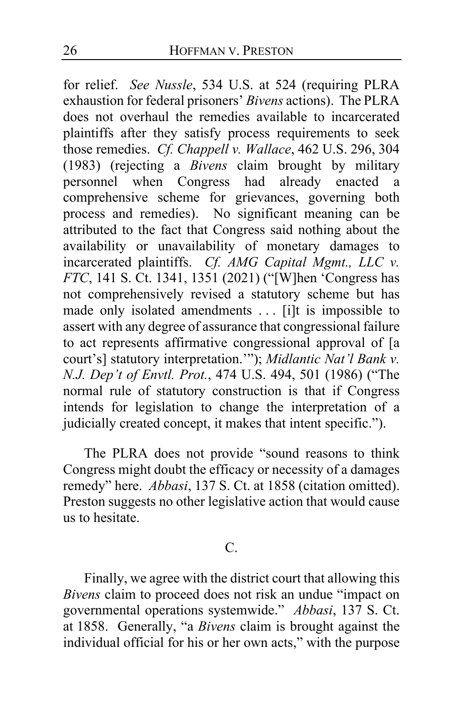for relief. *See Nussle*, 534 U.S. at 524 (requiring PLRA exhaustion for federal prisoners' *Bivens* actions). The PLRA does not overhaul the remedies available to incarcerated plaintiffs after they satisfy process requirements to seek those remedies. *Cf. Chappell v. Wallace*, 462 U.S. 296, 304 (1983) (rejecting a *Bivens* claim brought by military personnel when Congress had already enacted a comprehensive scheme for grievances, governing both process and remedies). No significant meaning can be attributed to the fact that Congress said nothing about the availability or unavailability of monetary damages to incarcerated plaintiffs. *Cf. AMG Capital Mgmt., LLC v. FTC*, 141 S. Ct. 1341, 1351 (2021) ("[W]hen 'Congress has not comprehensively revised a statutory scheme but has made only isolated amendments ... [i]t is impossible to assert with any degree of assurance that congressional failure to act represents affirmative congressional approval of [a court's] statutory interpretation.'"); *Midlantic Nat'l Bank v. N.J. Dep't of Envtl. Prot.*, 474 U.S. 494, 501 (1986) ("The normal rule of statutory construction is that if Congress intends for legislation to change the interpretation of a judicially created concept, it makes that intent specific.").

The PLRA does not provide "sound reasons to think Congress might doubt the efficacy or necessity of a damages remedy" here. *Abbasi*, 137 S. Ct. at 1858 (citation omitted). Preston suggests no other legislative action that would cause us to hesitate.

# C.

Finally, we agree with the district court that allowing this *Bivens* claim to proceed does not risk an undue "impact on governmental operations systemwide." *Abbasi*, 137 S. Ct. at 1858. Generally, "a *Bivens* claim is brought against the individual official for his or her own acts," with the purpose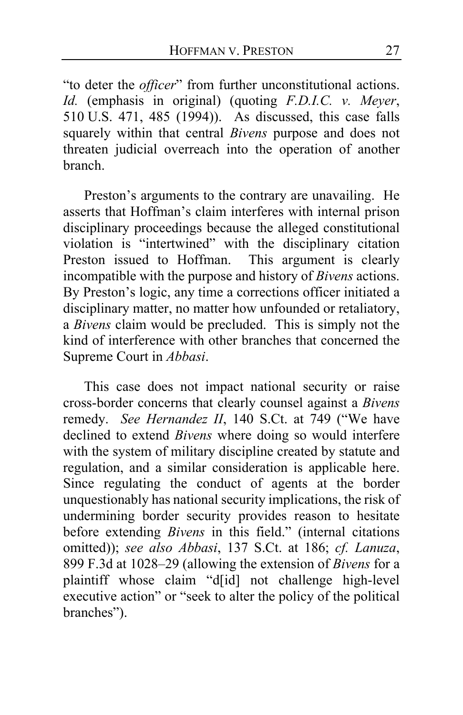"to deter the *officer*" from further unconstitutional actions. *Id.* (emphasis in original) (quoting *F.D.I.C. v. Meyer*, 510 U.S. 471, 485 (1994)). As discussed, this case falls squarely within that central *Bivens* purpose and does not threaten judicial overreach into the operation of another branch.

Preston's arguments to the contrary are unavailing. He asserts that Hoffman's claim interferes with internal prison disciplinary proceedings because the alleged constitutional violation is "intertwined" with the disciplinary citation Preston issued to Hoffman. This argument is clearly incompatible with the purpose and history of *Bivens* actions. By Preston's logic, any time a corrections officer initiated a disciplinary matter, no matter how unfounded or retaliatory, a *Bivens* claim would be precluded. This is simply not the kind of interference with other branches that concerned the Supreme Court in *Abbasi*.

This case does not impact national security or raise cross-border concerns that clearly counsel against a *Bivens*  remedy. *See Hernandez II*, 140 S.Ct. at 749 ("We have declined to extend *Bivens* where doing so would interfere with the system of military discipline created by statute and regulation, and a similar consideration is applicable here. Since regulating the conduct of agents at the border unquestionably has national security implications, the risk of undermining border security provides reason to hesitate before extending *Bivens* in this field." (internal citations omitted)); *see also Abbasi*, 137 S.Ct. at 186; *cf. Lanuza*, 899 F.3d at 1028–29 (allowing the extension of *Bivens* for a plaintiff whose claim "d[id] not challenge high-level executive action" or "seek to alter the policy of the political branches").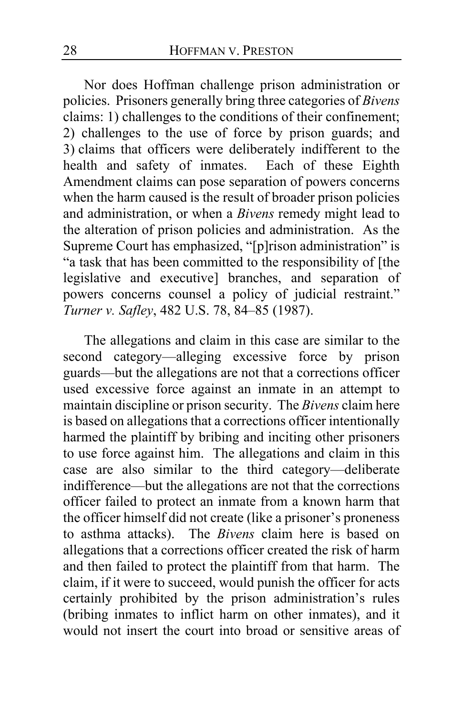Nor does Hoffman challenge prison administration or policies. Prisoners generally bring three categories of *Bivens*  claims: 1) challenges to the conditions of their confinement; 2) challenges to the use of force by prison guards; and 3) claims that officers were deliberately indifferent to the health and safety of inmates. Each of these Eighth Amendment claims can pose separation of powers concerns when the harm caused is the result of broader prison policies and administration, or when a *Bivens* remedy might lead to the alteration of prison policies and administration. As the Supreme Court has emphasized, "[p]rison administration" is "a task that has been committed to the responsibility of [the legislative and executive] branches, and separation of powers concerns counsel a policy of judicial restraint." *Turner v. Safley*, 482 U.S. 78, 84–85 (1987).

The allegations and claim in this case are similar to the second category—alleging excessive force by prison guards—but the allegations are not that a corrections officer used excessive force against an inmate in an attempt to maintain discipline or prison security. The *Bivens* claim here is based on allegations that a corrections officer intentionally harmed the plaintiff by bribing and inciting other prisoners to use force against him. The allegations and claim in this case are also similar to the third category—deliberate indifference—but the allegations are not that the corrections officer failed to protect an inmate from a known harm that the officer himself did not create (like a prisoner's proneness to asthma attacks). The *Bivens* claim here is based on allegations that a corrections officer created the risk of harm and then failed to protect the plaintiff from that harm. The claim, if it were to succeed, would punish the officer for acts certainly prohibited by the prison administration's rules (bribing inmates to inflict harm on other inmates), and it would not insert the court into broad or sensitive areas of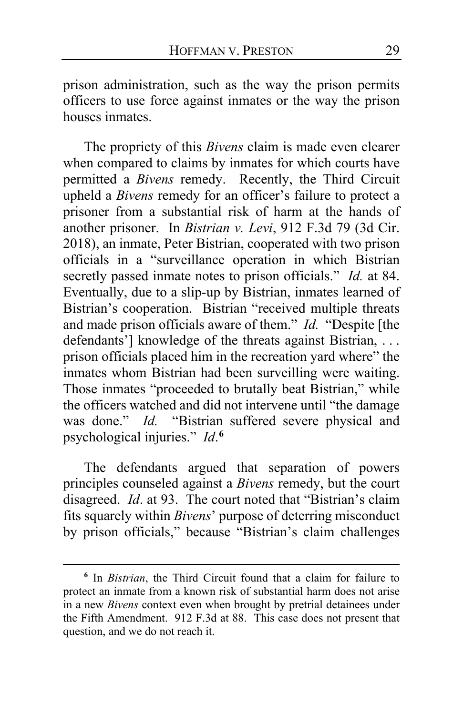prison administration, such as the way the prison permits officers to use force against inmates or the way the prison houses inmates.

The propriety of this *Bivens* claim is made even clearer when compared to claims by inmates for which courts have permitted a *Bivens* remedy. Recently, the Third Circuit upheld a *Bivens* remedy for an officer's failure to protect a prisoner from a substantial risk of harm at the hands of another prisoner. In *Bistrian v. Levi*, 912 F.3d 79 (3d Cir. 2018), an inmate, Peter Bistrian, cooperated with two prison officials in a "surveillance operation in which Bistrian secretly passed inmate notes to prison officials." *Id.* at 84. Eventually, due to a slip-up by Bistrian, inmates learned of Bistrian's cooperation. Bistrian "received multiple threats and made prison officials aware of them." *Id.* "Despite [the defendants'] knowledge of the threats against Bistrian, ... prison officials placed him in the recreation yard where" the inmates whom Bistrian had been surveilling were waiting. Those inmates "proceeded to brutally beat Bistrian," while the officers watched and did not intervene until "the damage was done." *Id.* "Bistrian suffered severe physical and psychological injuries." *Id*. **[6](#page-28-0)**

The defendants argued that separation of powers principles counseled against a *Bivens* remedy, but the court disagreed. *Id*. at 93. The court noted that "Bistrian's claim fits squarely within *Bivens*' purpose of deterring misconduct by prison officials," because "Bistrian's claim challenges

<span id="page-28-0"></span>**<sup>6</sup>** In *Bistrian*, the Third Circuit found that a claim for failure to protect an inmate from a known risk of substantial harm does not arise in a new *Bivens* context even when brought by pretrial detainees under the Fifth Amendment. 912 F.3d at 88. This case does not present that question, and we do not reach it.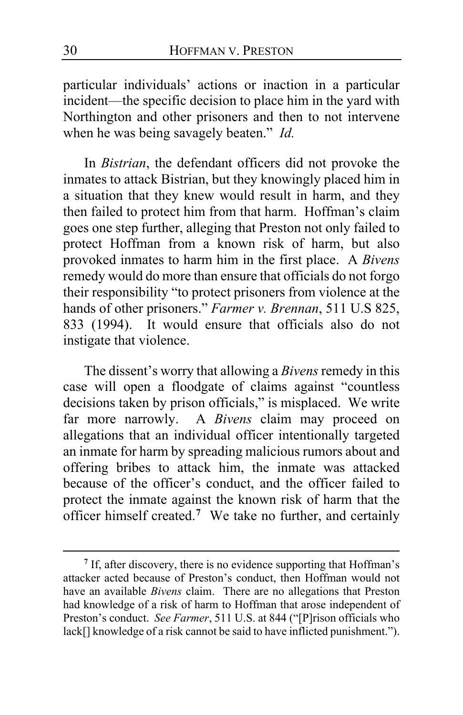particular individuals' actions or inaction in a particular incident—the specific decision to place him in the yard with Northington and other prisoners and then to not intervene when he was being savagely beaten." *Id.*

In *Bistrian*, the defendant officers did not provoke the inmates to attack Bistrian, but they knowingly placed him in a situation that they knew would result in harm, and they then failed to protect him from that harm. Hoffman's claim goes one step further, alleging that Preston not only failed to protect Hoffman from a known risk of harm, but also provoked inmates to harm him in the first place. A *Bivens*  remedy would do more than ensure that officials do not forgo their responsibility "to protect prisoners from violence at the hands of other prisoners." *Farmer v. Brennan*, 511 U.S 825, 833 (1994). It would ensure that officials also do not instigate that violence.

The dissent's worry that allowing a *Bivens* remedy in this case will open a floodgate of claims against "countless decisions taken by prison officials," is misplaced. We write far more narrowly. A *Bivens* claim may proceed on allegations that an individual officer intentionally targeted an inmate for harm by spreading malicious rumors about and offering bribes to attack him, the inmate was attacked because of the officer's conduct, and the officer failed to protect the inmate against the known risk of harm that the officer himself created.**[7](#page-29-0)** We take no further, and certainly

<span id="page-29-0"></span>**<sup>7</sup>** If, after discovery, there is no evidence supporting that Hoffman's attacker acted because of Preston's conduct, then Hoffman would not have an available *Bivens* claim. There are no allegations that Preston had knowledge of a risk of harm to Hoffman that arose independent of Preston's conduct. *See Farmer*, 511 U.S. at 844 ("[P]rison officials who lack[] knowledge of a risk cannot be said to have inflicted punishment.").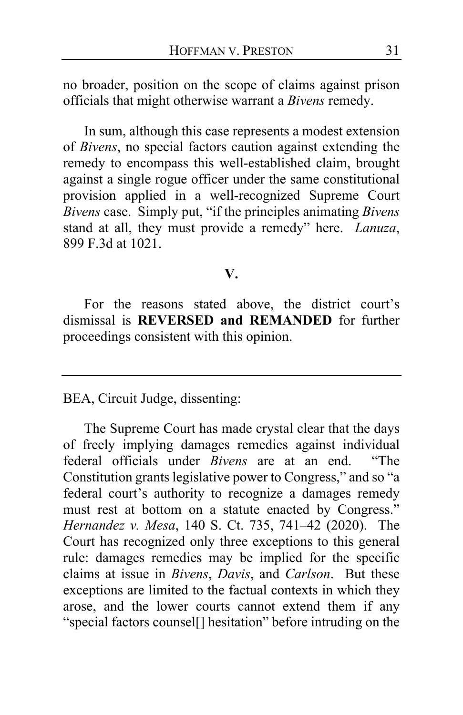no broader, position on the scope of claims against prison officials that might otherwise warrant a *Bivens* remedy.

In sum, although this case represents a modest extension of *Bivens*, no special factors caution against extending the remedy to encompass this well-established claim, brought against a single rogue officer under the same constitutional provision applied in a well-recognized Supreme Court *Bivens* case. Simply put, "if the principles animating *Bivens* stand at all, they must provide a remedy" here. *Lanuza*, 899 F.3d at 1021.

#### **V.**

For the reasons stated above, the district court's dismissal is **REVERSED and REMANDED** for further proceedings consistent with this opinion.

BEA, Circuit Judge, dissenting:

The Supreme Court has made crystal clear that the days of freely implying damages remedies against individual federal officials under *Bivens* are at an end. "The Constitution grants legislative power to Congress," and so "a federal court's authority to recognize a damages remedy must rest at bottom on a statute enacted by Congress." *Hernandez v. Mesa*, 140 S. Ct. 735, 741–42 (2020). The Court has recognized only three exceptions to this general rule: damages remedies may be implied for the specific claims at issue in *Bivens*, *Davis*, and *Carlson*. But these exceptions are limited to the factual contexts in which they arose, and the lower courts cannot extend them if any "special factors counsel[] hesitation" before intruding on the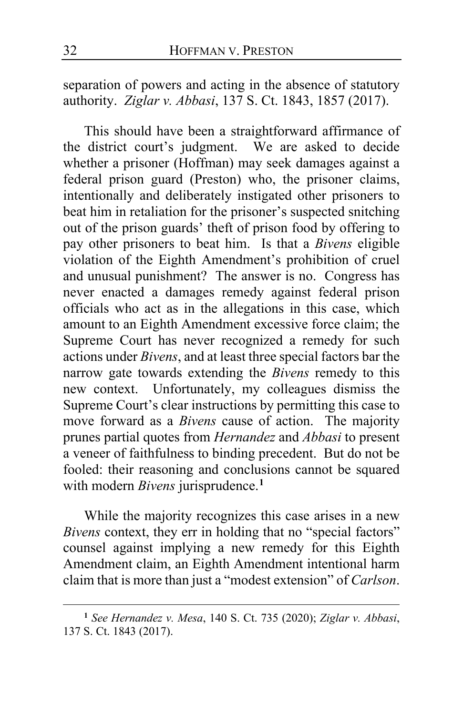separation of powers and acting in the absence of statutory authority. *Ziglar v. Abbasi*, 137 S. Ct. 1843, 1857 (2017).

This should have been a straightforward affirmance of the district court's judgment. We are asked to decide whether a prisoner (Hoffman) may seek damages against a federal prison guard (Preston) who, the prisoner claims, intentionally and deliberately instigated other prisoners to beat him in retaliation for the prisoner's suspected snitching out of the prison guards' theft of prison food by offering to pay other prisoners to beat him. Is that a *Bivens* eligible violation of the Eighth Amendment's prohibition of cruel and unusual punishment? The answer is no. Congress has never enacted a damages remedy against federal prison officials who act as in the allegations in this case, which amount to an Eighth Amendment excessive force claim; the Supreme Court has never recognized a remedy for such actions under *Bivens*, and at least three special factors bar the narrow gate towards extending the *Bivens* remedy to this new context. Unfortunately, my colleagues dismiss the Supreme Court's clear instructions by permitting this case to move forward as a *Bivens* cause of action. The majority prunes partial quotes from *Hernandez* and *Abbasi* to present a veneer of faithfulness to binding precedent. But do not be fooled: their reasoning and conclusions cannot be squared with modern *Bivens* jurisprudence.**[1](#page-31-0)**

While the majority recognizes this case arises in a new *Bivens* context, they err in holding that no "special factors" counsel against implying a new remedy for this Eighth Amendment claim, an Eighth Amendment intentional harm claim that is more than just a "modest extension" of *Carlson*.

<span id="page-31-0"></span>**<sup>1</sup>** *See Hernandez v. Mesa*, 140 S. Ct. 735 (2020); *Ziglar v. Abbasi*, 137 S. Ct. 1843 (2017).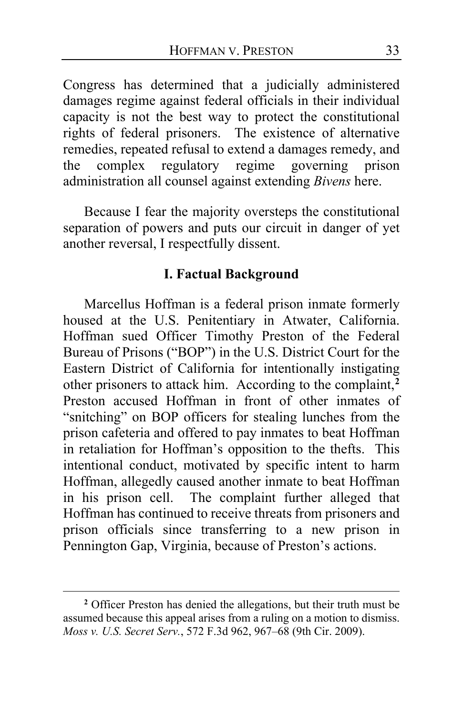Congress has determined that a judicially administered damages regime against federal officials in their individual capacity is not the best way to protect the constitutional rights of federal prisoners. The existence of alternative remedies, repeated refusal to extend a damages remedy, and the complex regulatory regime governing prison administration all counsel against extending *Bivens* here.

Because I fear the majority oversteps the constitutional separation of powers and puts our circuit in danger of yet another reversal, I respectfully dissent.

# **I. Factual Background**

Marcellus Hoffman is a federal prison inmate formerly housed at the U.S. Penitentiary in Atwater, California. Hoffman sued Officer Timothy Preston of the Federal Bureau of Prisons ("BOP") in the U.S. District Court for the Eastern District of California for intentionally instigating other prisoners to attack him. According to the complaint,**[2](#page-32-0)** Preston accused Hoffman in front of other inmates of "snitching" on BOP officers for stealing lunches from the prison cafeteria and offered to pay inmates to beat Hoffman in retaliation for Hoffman's opposition to the thefts. This intentional conduct, motivated by specific intent to harm Hoffman, allegedly caused another inmate to beat Hoffman in his prison cell. The complaint further alleged that Hoffman has continued to receive threats from prisoners and prison officials since transferring to a new prison in Pennington Gap, Virginia, because of Preston's actions.

<span id="page-32-0"></span>**<sup>2</sup>** Officer Preston has denied the allegations, but their truth must be assumed because this appeal arises from a ruling on a motion to dismiss. *Moss v. U.S. Secret Serv.*, 572 F.3d 962, 967–68 (9th Cir. 2009).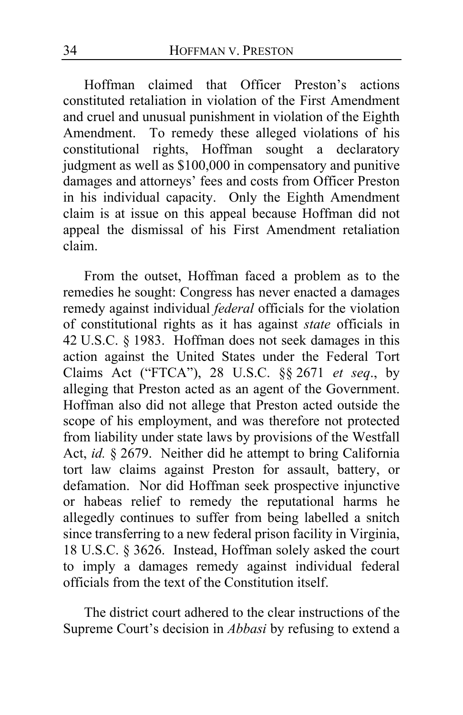Hoffman claimed that Officer Preston's actions constituted retaliation in violation of the First Amendment and cruel and unusual punishment in violation of the Eighth Amendment. To remedy these alleged violations of his constitutional rights, Hoffman sought a declaratory judgment as well as \$100,000 in compensatory and punitive damages and attorneys' fees and costs from Officer Preston in his individual capacity. Only the Eighth Amendment claim is at issue on this appeal because Hoffman did not appeal the dismissal of his First Amendment retaliation claim.

From the outset, Hoffman faced a problem as to the remedies he sought: Congress has never enacted a damages remedy against individual *federal* officials for the violation of constitutional rights as it has against *state* officials in 42 U.S.C. § 1983. Hoffman does not seek damages in this action against the United States under the Federal Tort Claims Act ("FTCA"), 28 U.S.C. §§ 2671 *et seq*., by alleging that Preston acted as an agent of the Government. Hoffman also did not allege that Preston acted outside the scope of his employment, and was therefore not protected from liability under state laws by provisions of the Westfall Act, *id.* § 2679. Neither did he attempt to bring California tort law claims against Preston for assault, battery, or defamation. Nor did Hoffman seek prospective injunctive or habeas relief to remedy the reputational harms he allegedly continues to suffer from being labelled a snitch since transferring to a new federal prison facility in Virginia, 18 U.S.C. § 3626. Instead, Hoffman solely asked the court to imply a damages remedy against individual federal officials from the text of the Constitution itself.

The district court adhered to the clear instructions of the Supreme Court's decision in *Abbasi* by refusing to extend a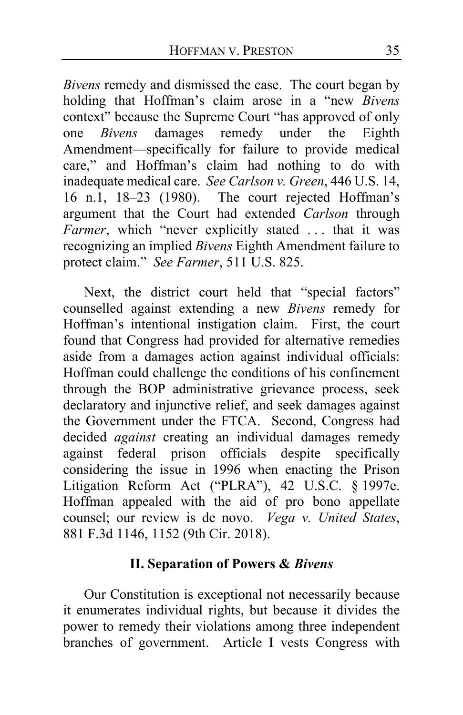*Bivens* remedy and dismissed the case. The court began by holding that Hoffman's claim arose in a "new *Bivens* context" because the Supreme Court "has approved of only one *Bivens* damages remedy under the Eighth Amendment—specifically for failure to provide medical care," and Hoffman's claim had nothing to do with inadequate medical care. *See Carlson v. Green*, 446 U.S. 14, 16 n.1, 18–23 (1980). The court rejected Hoffman's argument that the Court had extended *Carlson* through *Farmer*, which "never explicitly stated ... that it was recognizing an implied *Bivens* Eighth Amendment failure to protect claim." *See Farmer*, 511 U.S. 825.

Next, the district court held that "special factors" counselled against extending a new *Bivens* remedy for Hoffman's intentional instigation claim. First, the court found that Congress had provided for alternative remedies aside from a damages action against individual officials: Hoffman could challenge the conditions of his confinement through the BOP administrative grievance process, seek declaratory and injunctive relief, and seek damages against the Government under the FTCA. Second, Congress had decided *against* creating an individual damages remedy against federal prison officials despite specifically considering the issue in 1996 when enacting the Prison Litigation Reform Act ("PLRA"), 42 U.S.C. § 1997e. Hoffman appealed with the aid of pro bono appellate counsel; our review is de novo. *Vega v. United States*, 881 F.3d 1146, 1152 (9th Cir. 2018).

# **II. Separation of Powers &** *Bivens*

Our Constitution is exceptional not necessarily because it enumerates individual rights, but because it divides the power to remedy their violations among three independent branches of government. Article I vests Congress with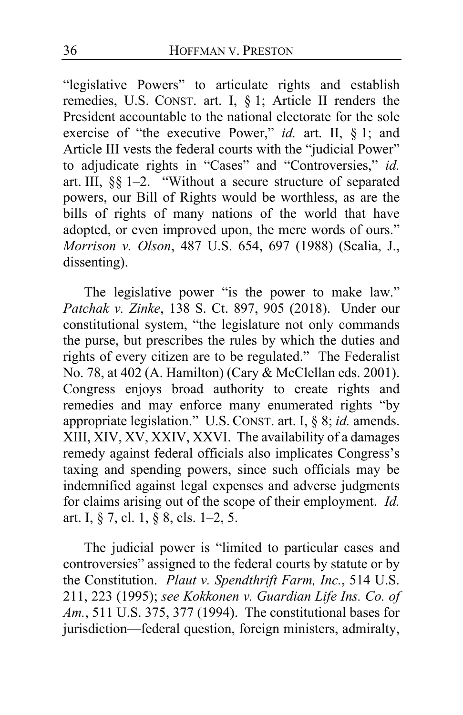"legislative Powers" to articulate rights and establish remedies, U.S. CONST. art. I, § 1; Article II renders the President accountable to the national electorate for the sole exercise of "the executive Power," *id.* art. II, § 1; and Article III vests the federal courts with the "judicial Power" to adjudicate rights in "Cases" and "Controversies," *id.* art. III, §§ 1–2. "Without a secure structure of separated powers, our Bill of Rights would be worthless, as are the bills of rights of many nations of the world that have adopted, or even improved upon, the mere words of ours." *Morrison v. Olson*, 487 U.S. 654, 697 (1988) (Scalia, J., dissenting).

The legislative power "is the power to make law." *Patchak v. Zinke*, 138 S. Ct. 897, 905 (2018). Under our constitutional system, "the legislature not only commands the purse, but prescribes the rules by which the duties and rights of every citizen are to be regulated." The Federalist No. 78, at 402 (A. Hamilton) (Cary & McClellan eds. 2001). Congress enjoys broad authority to create rights and remedies and may enforce many enumerated rights "by appropriate legislation." U.S. CONST. art. I, § 8; *id.* amends. XIII, XIV, XV, XXIV, XXVI. The availability of a damages remedy against federal officials also implicates Congress's taxing and spending powers, since such officials may be indemnified against legal expenses and adverse judgments for claims arising out of the scope of their employment. *Id.* art. I, § 7, cl. 1, § 8, cls. 1–2, 5.

The judicial power is "limited to particular cases and controversies" assigned to the federal courts by statute or by the Constitution. *Plaut v. Spendthrift Farm, Inc.*, 514 U.S. 211, 223 (1995); *see Kokkonen v. Guardian Life Ins. Co. of Am.*, 511 U.S. 375, 377 (1994). The constitutional bases for jurisdiction—federal question, foreign ministers, admiralty,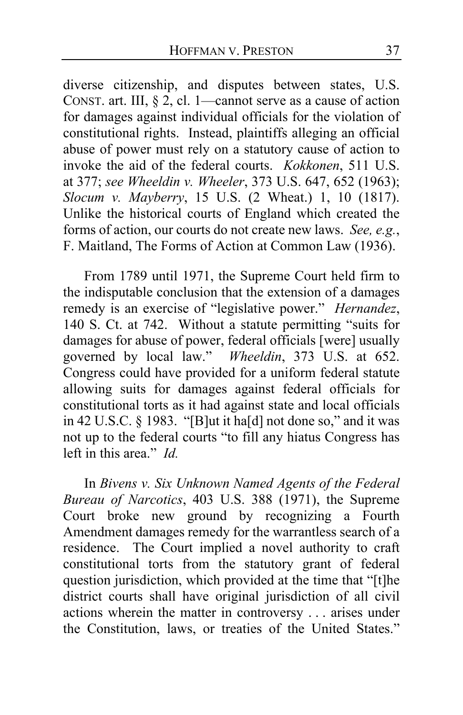diverse citizenship, and disputes between states, U.S. CONST. art. III,  $\S$  2, cl. 1—cannot serve as a cause of action for damages against individual officials for the violation of constitutional rights. Instead, plaintiffs alleging an official abuse of power must rely on a statutory cause of action to invoke the aid of the federal courts. *Kokkonen*, 511 U.S. at 377; *see Wheeldin v. Wheeler*, 373 U.S. 647, 652 (1963); *Slocum v. Mayberry*, 15 U.S. (2 Wheat.) 1, 10 (1817). Unlike the historical courts of England which created the forms of action, our courts do not create new laws. *See, e.g.*, F. Maitland, The Forms of Action at Common Law (1936).

From 1789 until 1971, the Supreme Court held firm to the indisputable conclusion that the extension of a damages remedy is an exercise of "legislative power." *Hernandez*, 140 S. Ct. at 742. Without a statute permitting "suits for damages for abuse of power, federal officials [were] usually governed by local law." *Wheeldin*, 373 U.S. at 652. Congress could have provided for a uniform federal statute allowing suits for damages against federal officials for constitutional torts as it had against state and local officials in 42 U.S.C. § 1983. "[B]ut it ha[d] not done so," and it was not up to the federal courts "to fill any hiatus Congress has left in this area." *Id.*

In *Bivens v. Six Unknown Named Agents of the Federal Bureau of Narcotics*, 403 U.S. 388 (1971), the Supreme Court broke new ground by recognizing a Fourth Amendment damages remedy for the warrantless search of a residence. The Court implied a novel authority to craft constitutional torts from the statutory grant of federal question jurisdiction, which provided at the time that "[t]he district courts shall have original jurisdiction of all civil actions wherein the matter in controversy . . . arises under the Constitution, laws, or treaties of the United States."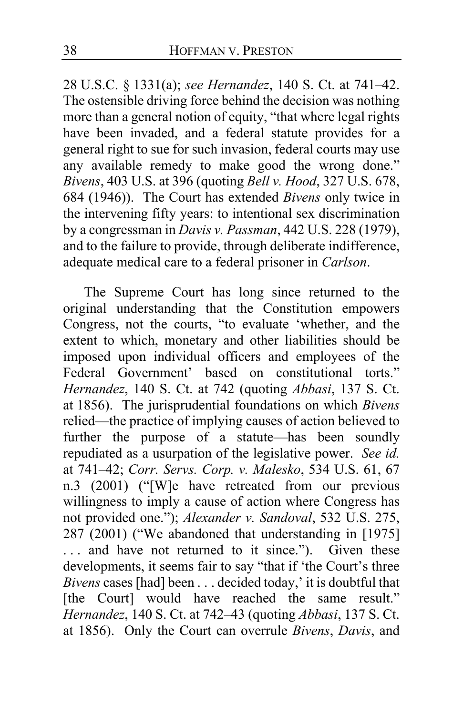28 U.S.C. § 1331(a); *see Hernandez*, 140 S. Ct. at 741–42. The ostensible driving force behind the decision was nothing more than a general notion of equity, "that where legal rights have been invaded, and a federal statute provides for a general right to sue for such invasion, federal courts may use any available remedy to make good the wrong done." *Bivens*, 403 U.S. at 396 (quoting *Bell v. Hood*, 327 U.S. 678, 684 (1946)). The Court has extended *Bivens* only twice in the intervening fifty years: to intentional sex discrimination by a congressman in *Davis v. Passman*, 442 U.S. 228 (1979), and to the failure to provide, through deliberate indifference, adequate medical care to a federal prisoner in *Carlson*.

The Supreme Court has long since returned to the original understanding that the Constitution empowers Congress, not the courts, "to evaluate 'whether, and the extent to which, monetary and other liabilities should be imposed upon individual officers and employees of the Federal Government' based on constitutional torts." *Hernandez*, 140 S. Ct. at 742 (quoting *Abbasi*, 137 S. Ct. at 1856). The jurisprudential foundations on which *Bivens* relied—the practice of implying causes of action believed to further the purpose of a statute—has been soundly repudiated as a usurpation of the legislative power. *See id.* at 741–42; *Corr. Servs. Corp. v. Malesko*, 534 U.S. 61, 67 n.3 (2001) ("[W]e have retreated from our previous willingness to imply a cause of action where Congress has not provided one."); *Alexander v. Sandoval*, 532 U.S. 275, 287 (2001) ("We abandoned that understanding in [1975] ... and have not returned to it since."). Given these developments, it seems fair to say "that if 'the Court's three *Bivens* cases [had] been . . . decided today,' it is doubtful that [the Court] would have reached the same result." *Hernandez*, 140 S. Ct. at 742–43 (quoting *Abbasi*, 137 S. Ct. at 1856). Only the Court can overrule *Bivens*, *Davis*, and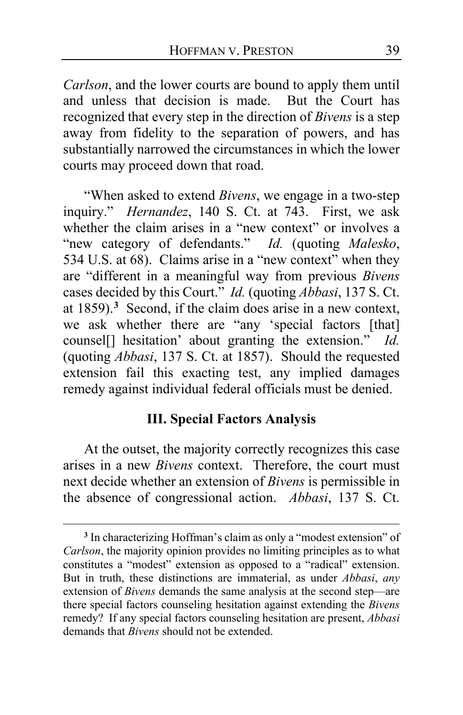*Carlson*, and the lower courts are bound to apply them until and unless that decision is made. But the Court has recognized that every step in the direction of *Bivens* is a step away from fidelity to the separation of powers, and has substantially narrowed the circumstances in which the lower courts may proceed down that road.

"When asked to extend *Bivens*, we engage in a two-step inquiry." *Hernandez*, 140 S. Ct. at 743. First, we ask whether the claim arises in a "new context" or involves a "new category of defendants." *Id.* (quoting *Malesko*, 534 U.S. at 68). Claims arise in a "new context" when they are "different in a meaningful way from previous *Bivens* cases decided by this Court." *Id.* (quoting *Abbasi*, 137 S. Ct. at 1859).**[3](#page-38-0)** Second, if the claim does arise in a new context, we ask whether there are "any 'special factors [that] counsel[] hesitation' about granting the extension." *Id.* (quoting *Abbasi*, 137 S. Ct. at 1857). Should the requested extension fail this exacting test, any implied damages remedy against individual federal officials must be denied.

# **III. Special Factors Analysis**

At the outset, the majority correctly recognizes this case arises in a new *Bivens* context. Therefore, the court must next decide whether an extension of *Bivens* is permissible in the absence of congressional action. *Abbasi*, 137 S. Ct.

<span id="page-38-0"></span>**<sup>3</sup>** In characterizing Hoffman's claim as only a "modest extension" of *Carlson*, the majority opinion provides no limiting principles as to what constitutes a "modest" extension as opposed to a "radical" extension. But in truth, these distinctions are immaterial, as under *Abbasi*, *any* extension of *Bivens* demands the same analysis at the second step—are there special factors counseling hesitation against extending the *Bivens* remedy? If any special factors counseling hesitation are present, *Abbasi* demands that *Bivens* should not be extended.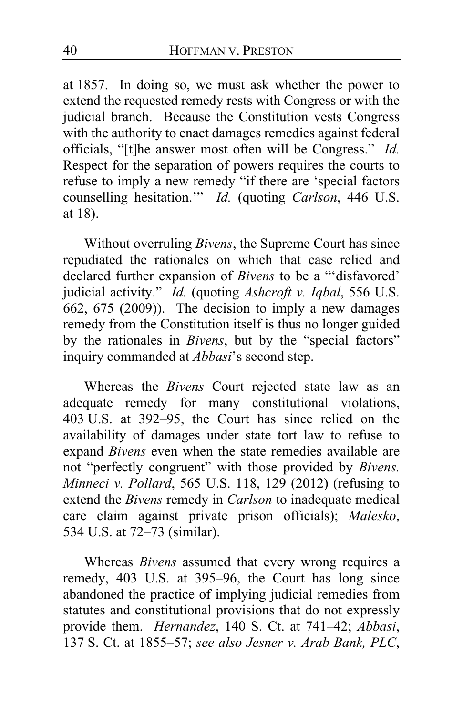at 1857. In doing so, we must ask whether the power to extend the requested remedy rests with Congress or with the judicial branch. Because the Constitution vests Congress with the authority to enact damages remedies against federal officials, "[t]he answer most often will be Congress." *Id.* Respect for the separation of powers requires the courts to refuse to imply a new remedy "if there are 'special factors counselling hesitation.'" *Id.* (quoting *Carlson*, 446 U.S. at 18).

Without overruling *Bivens*, the Supreme Court has since repudiated the rationales on which that case relied and declared further expansion of *Bivens* to be a "'disfavored' judicial activity." *Id.* (quoting *Ashcroft v. Iqbal*, 556 U.S.  $662, 675$  (2009)). The decision to imply a new damages remedy from the Constitution itself is thus no longer guided by the rationales in *Bivens*, but by the "special factors" inquiry commanded at *Abbasi*'s second step.

Whereas the *Bivens* Court rejected state law as an adequate remedy for many constitutional violations, 403 U.S. at 392–95, the Court has since relied on the availability of damages under state tort law to refuse to expand *Bivens* even when the state remedies available are not "perfectly congruent" with those provided by *Bivens. Minneci v. Pollard*, 565 U.S. 118, 129 (2012) (refusing to extend the *Bivens* remedy in *Carlson* to inadequate medical care claim against private prison officials); *Malesko*, 534 U.S. at 72–73 (similar).

Whereas *Bivens* assumed that every wrong requires a remedy, 403 U.S. at 395–96, the Court has long since abandoned the practice of implying judicial remedies from statutes and constitutional provisions that do not expressly provide them. *Hernandez*, 140 S. Ct. at 741–42; *Abbasi*, 137 S. Ct. at 1855–57; *see also Jesner v. Arab Bank, PLC*,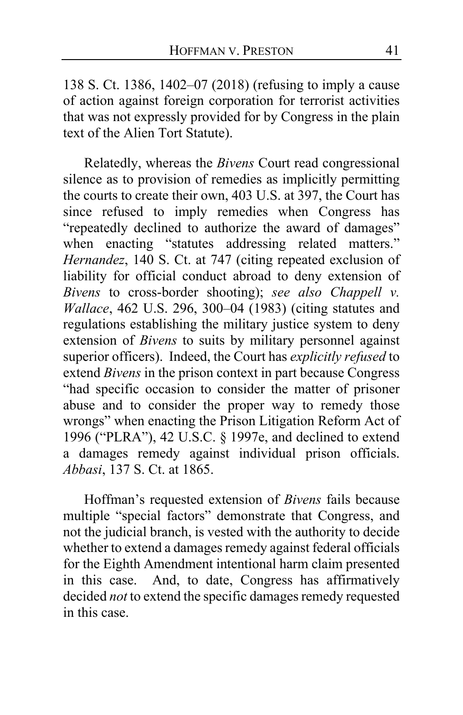138 S. Ct. 1386, 1402–07 (2018) (refusing to imply a cause of action against foreign corporation for terrorist activities that was not expressly provided for by Congress in the plain text of the Alien Tort Statute).

Relatedly, whereas the *Bivens* Court read congressional silence as to provision of remedies as implicitly permitting the courts to create their own, 403 U.S. at 397, the Court has since refused to imply remedies when Congress has "repeatedly declined to authorize the award of damages" when enacting "statutes addressing related matters." *Hernandez*, 140 S. Ct. at 747 (citing repeated exclusion of liability for official conduct abroad to deny extension of *Bivens* to cross-border shooting); *see also Chappell v. Wallace*, 462 U.S. 296, 300–04 (1983) (citing statutes and regulations establishing the military justice system to deny extension of *Bivens* to suits by military personnel against superior officers). Indeed, the Court has *explicitly refused* to extend *Bivens* in the prison context in part because Congress "had specific occasion to consider the matter of prisoner abuse and to consider the proper way to remedy those wrongs" when enacting the Prison Litigation Reform Act of 1996 ("PLRA"), 42 U.S.C. § 1997e, and declined to extend a damages remedy against individual prison officials. *Abbasi*, 137 S. Ct. at 1865.

Hoffman's requested extension of *Bivens* fails because multiple "special factors" demonstrate that Congress, and not the judicial branch, is vested with the authority to decide whether to extend a damages remedy against federal officials for the Eighth Amendment intentional harm claim presented in this case. And, to date, Congress has affirmatively decided *not* to extend the specific damages remedy requested in this case.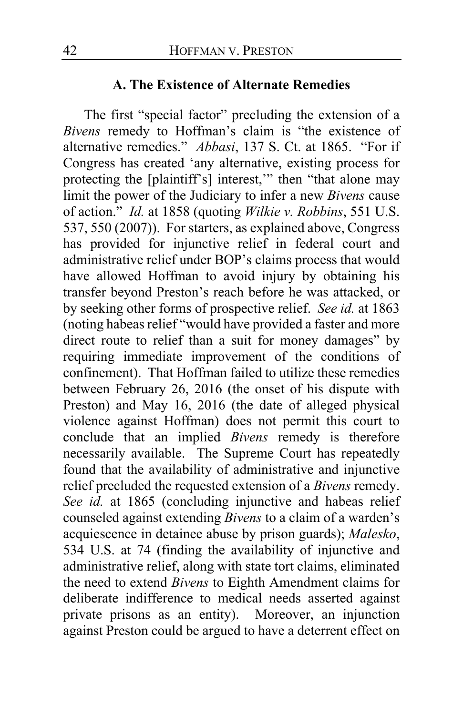# **A. The Existence of Alternate Remedies**

The first "special factor" precluding the extension of a *Bivens* remedy to Hoffman's claim is "the existence of alternative remedies." *Abbasi*, 137 S. Ct. at 1865. "For if Congress has created 'any alternative, existing process for protecting the [plaintiff's] interest,'" then "that alone may limit the power of the Judiciary to infer a new *Bivens* cause of action." *Id.* at 1858 (quoting *Wilkie v. Robbins*, 551 U.S. 537, 550 (2007)). For starters, as explained above, Congress has provided for injunctive relief in federal court and administrative relief under BOP's claims process that would have allowed Hoffman to avoid injury by obtaining his transfer beyond Preston's reach before he was attacked, or by seeking other forms of prospective relief. *See id.* at 1863 (noting habeas relief "would have provided a faster and more direct route to relief than a suit for money damages" by requiring immediate improvement of the conditions of confinement). That Hoffman failed to utilize these remedies between February 26, 2016 (the onset of his dispute with Preston) and May 16, 2016 (the date of alleged physical violence against Hoffman) does not permit this court to conclude that an implied *Bivens* remedy is therefore necessarily available. The Supreme Court has repeatedly found that the availability of administrative and injunctive relief precluded the requested extension of a *Bivens* remedy. *See id.* at 1865 (concluding injunctive and habeas relief counseled against extending *Bivens* to a claim of a warden's acquiescence in detainee abuse by prison guards); *Malesko*, 534 U.S. at 74 (finding the availability of injunctive and administrative relief, along with state tort claims, eliminated the need to extend *Bivens* to Eighth Amendment claims for deliberate indifference to medical needs asserted against private prisons as an entity). Moreover, an injunction against Preston could be argued to have a deterrent effect on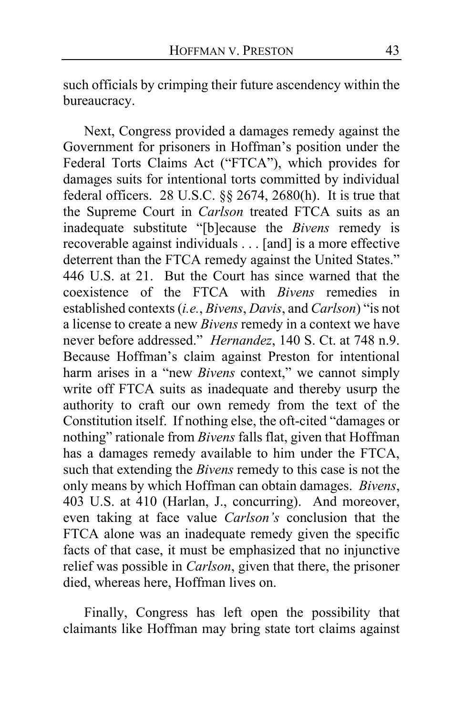such officials by crimping their future ascendency within the bureaucracy.

Next, Congress provided a damages remedy against the Government for prisoners in Hoffman's position under the Federal Torts Claims Act ("FTCA"), which provides for damages suits for intentional torts committed by individual federal officers. 28 U.S.C. §§ 2674, 2680(h). It is true that the Supreme Court in *Carlson* treated FTCA suits as an inadequate substitute "[b]ecause the *Bivens* remedy is recoverable against individuals . . . [and] is a more effective deterrent than the FTCA remedy against the United States." 446 U.S. at 21. But the Court has since warned that the coexistence of the FTCA with *Bivens* remedies in established contexts (*i.e.*, *Bivens*, *Davis*, and *Carlson*) "is not a license to create a new *Bivens* remedy in a context we have never before addressed." *Hernandez*, 140 S. Ct. at 748 n.9. Because Hoffman's claim against Preston for intentional harm arises in a "new *Bivens* context," we cannot simply write off FTCA suits as inadequate and thereby usurp the authority to craft our own remedy from the text of the Constitution itself. If nothing else, the oft-cited "damages or nothing" rationale from *Bivens* falls flat, given that Hoffman has a damages remedy available to him under the FTCA, such that extending the *Bivens* remedy to this case is not the only means by which Hoffman can obtain damages. *Bivens*, 403 U.S. at 410 (Harlan, J., concurring). And moreover, even taking at face value *Carlson's* conclusion that the FTCA alone was an inadequate remedy given the specific facts of that case, it must be emphasized that no injunctive relief was possible in *Carlson*, given that there, the prisoner died, whereas here, Hoffman lives on.

<span id="page-42-0"></span>Finally, Congress has left open the possibility that claimants like Hoffman may bring state tort claims against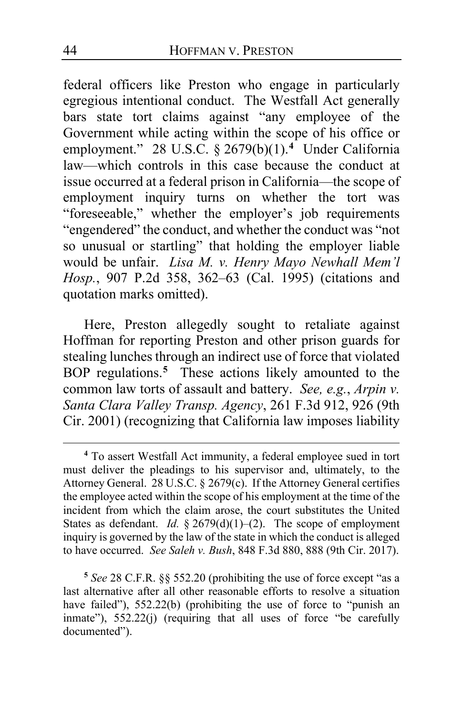federal officers like Preston who engage in particularly egregious intentional conduct. The Westfall Act generally bars state tort claims against "any employee of the Government while acting within the scope of his office or employment." 28 U.S.C. § 2679(b)(1).<sup>[4](#page-43-0)</sup> Under California law—which controls in this case because the conduct at issue occurred at a federal prison in California—the scope of employment inquiry turns on whether the tort was "foreseeable," whether the employer's job requirements "engendered" the conduct, and whether the conduct was "not so unusual or startling" that holding the employer liable would be unfair. *Lisa M. v. Henry Mayo Newhall Mem'l Hosp.*, 907 P.2d 358, 362–63 (Cal. 1995) (citations and quotation marks omitted).

Here, Preston allegedly sought to retaliate against Hoffman for reporting Preston and other prison guards for stealing lunches through an indirect use of force that violated BOP regulations.**[5](#page-43-1)** These actions likely amounted to the common law torts of assault and battery. *See, e.g.*, *Arpin v. Santa Clara Valley Transp. Agency*, 261 F.3d 912, 926 (9th Cir. 2001) (recognizing that California law imposes liability

<span id="page-43-0"></span>**<sup>4</sup>** To assert Westfall Act immunity, a federal employee sued in tort must deliver the pleadings to his supervisor and, ultimately, to the Attorney General. 28 U.S.C. § 2679(c). If the Attorney General certifies the employee acted within the scope of his employment at the time of the incident from which the claim arose, the court substitutes the United States as defendant. *Id.* § 2679(d)(1)-(2). The scope of employment inquiry is governed by the law of the state in which the conduct is alleged to have occurred. *See Saleh v. Bush*, 848 F.3d 880, 888 (9th Cir. 2017).

<span id="page-43-1"></span>**<sup>5</sup>** *See* 28 C.F.R. §§ 552.20 (prohibiting the use of force except "as a last alternative after all other reasonable efforts to resolve a situation have failed"), 552.22(b) (prohibiting the use of force to "punish an inmate"), 552.22(j) (requiring that all uses of force "be carefully documented").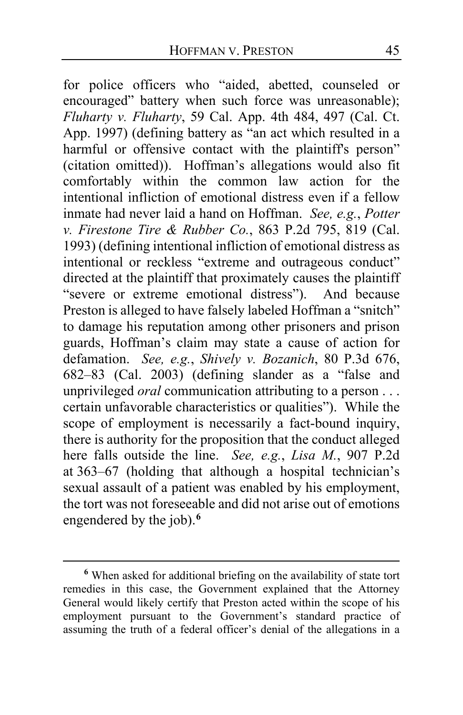for police officers who "aided, abetted, counseled or encouraged" battery when such force was unreasonable); *Fluharty v. Fluharty*, 59 Cal. App. 4th 484, 497 (Cal. Ct. App. 1997) (defining battery as "an act which resulted in a harmful or offensive contact with the plaintiff's person" (citation omitted)). Hoffman's allegations would also fit comfortably within the common law action for the intentional infliction of emotional distress even if a fellow inmate had never laid a hand on Hoffman. *See, e.g.*, *Potter v. Firestone Tire & Rubber Co.*, 863 P.2d 795, 819 (Cal. 1993) (defining intentional infliction of emotional distress as intentional or reckless "extreme and outrageous conduct" directed at the plaintiff that proximately causes the plaintiff "severe or extreme emotional distress"). And because Preston is alleged to have falsely labeled Hoffman a "snitch" to damage his reputation among other prisoners and prison guards, Hoffman's claim may state a cause of action for defamation. *See, e.g.*, *Shively v. Bozanich*, 80 P.3d 676, 682–83 (Cal. 2003) (defining slander as a "false and unprivileged *oral* communication attributing to a person . . . certain unfavorable characteristics or qualities"). While the scope of employment is necessarily a fact-bound inquiry, there is authority for the proposition that the conduct alleged here falls outside the line. *See, e.g.*, *Lisa M.*, 907 P.2d at 363–67 (holding that although a hospital technician's sexual assault of a patient was enabled by his employment, the tort was not foreseeable and did not arise out of emotions engendered by the job).**[6](#page-44-0)**

<span id="page-44-0"></span>**<sup>6</sup>** When asked for additional briefing on the availability of state tort remedies in this case, the Government explained that the Attorney General would likely certify that Preston acted within the scope of his employment pursuant to the Government's standard practice of assuming the truth of a federal officer's denial of the allegations in a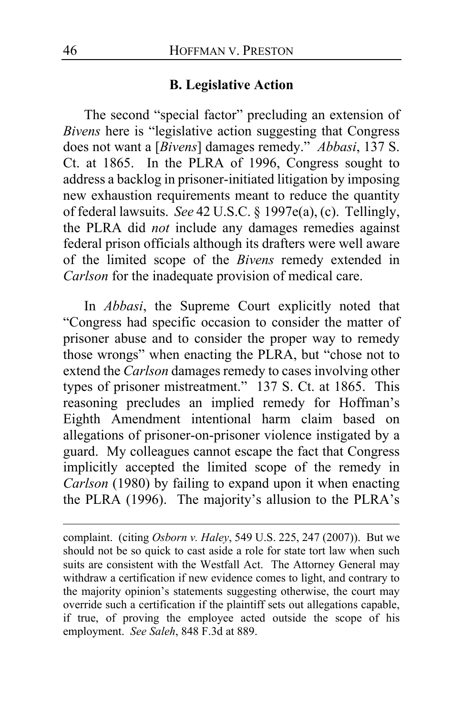# **B. Legislative Action**

The second "special factor" precluding an extension of *Bivens* here is "legislative action suggesting that Congress does not want a [*Bivens*] damages remedy." *Abbasi*, 137 S. Ct. at 1865. In the PLRA of 1996, Congress sought to address a backlog in prisoner-initiated litigation by imposing new exhaustion requirements meant to reduce the quantity of federal lawsuits. *See* 42 U.S.C. § 1997e(a), (c). Tellingly, the PLRA did *not* include any damages remedies against federal prison officials although its drafters were well aware of the limited scope of the *Bivens* remedy extended in *Carlson* for the inadequate provision of medical care.

<span id="page-45-0"></span>In *Abbasi*, the Supreme Court explicitly noted that "Congress had specific occasion to consider the matter of prisoner abuse and to consider the proper way to remedy those wrongs" when enacting the PLRA, but "chose not to extend the *Carlson* damages remedy to cases involving other types of prisoner mistreatment." 137 S. Ct. at 1865. This reasoning precludes an implied remedy for Hoffman's Eighth Amendment intentional harm claim based on allegations of prisoner-on-prisoner violence instigated by a guard. My colleagues cannot escape the fact that Congress implicitly accepted the limited scope of the remedy in *Carlson* (1980) by failing to expand upon it when enacting the PLRA (1996). The majority's allusion to the PLRA's

complaint. (citing *Osborn v. Haley*, 549 U.S. 225, 247 (2007)). But we should not be so quick to cast aside a role for state tort law when such suits are consistent with the Westfall Act. The Attorney General may withdraw a certification if new evidence comes to light, and contrary to the majority opinion's statements suggesting otherwise, the court may override such a certification if the plaintiff sets out allegations capable, if true, of proving the employee acted outside the scope of his employment. *See Saleh*, 848 F.3d at 889.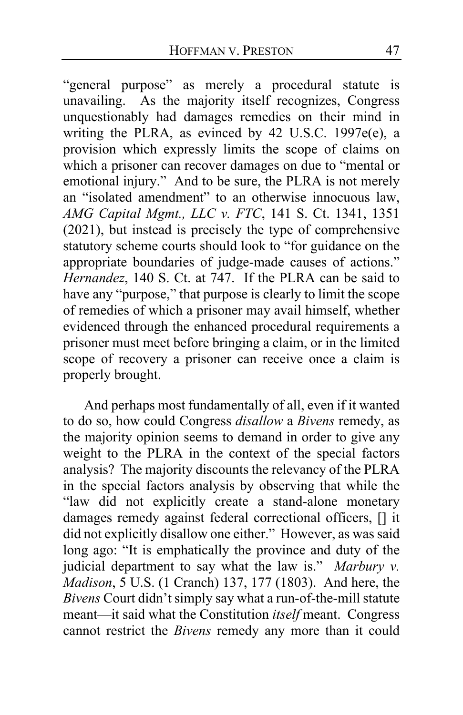"general purpose" as merely a procedural statute is unavailing. As the majority itself recognizes, Congress unquestionably had damages remedies on their mind in writing the PLRA, as evinced by 42 U.S.C. 1997e(e), a provision which expressly limits the scope of claims on which a prisoner can recover damages on due to "mental or emotional injury." And to be sure, the PLRA is not merely an "isolated amendment" to an otherwise innocuous law, *AMG Capital Mgmt., LLC v. FTC*, 141 S. Ct. 1341, 1351 (2021), but instead is precisely the type of comprehensive statutory scheme courts should look to "for guidance on the appropriate boundaries of judge-made causes of actions." *Hernandez*, 140 S. Ct. at 747. If the PLRA can be said to have any "purpose," that purpose is clearly to limit the scope of remedies of which a prisoner may avail himself, whether evidenced through the enhanced procedural requirements a prisoner must meet before bringing a claim, or in the limited scope of recovery a prisoner can receive once a claim is properly brought.

And perhaps most fundamentally of all, even if it wanted to do so, how could Congress *disallow* a *Bivens* remedy, as the majority opinion seems to demand in order to give any weight to the PLRA in the context of the special factors analysis? The majority discounts the relevancy of the PLRA in the special factors analysis by observing that while the "law did not explicitly create a stand-alone monetary damages remedy against federal correctional officers, [] it did not explicitly disallow one either." However, as was said long ago: "It is emphatically the province and duty of the judicial department to say what the law is." *Marbury v. Madison*, 5 U.S. (1 Cranch) 137, 177 (1803). And here, the *Bivens* Court didn't simply say what a run-of-the-mill statute meant—it said what the Constitution *itself* meant. Congress cannot restrict the *Bivens* remedy any more than it could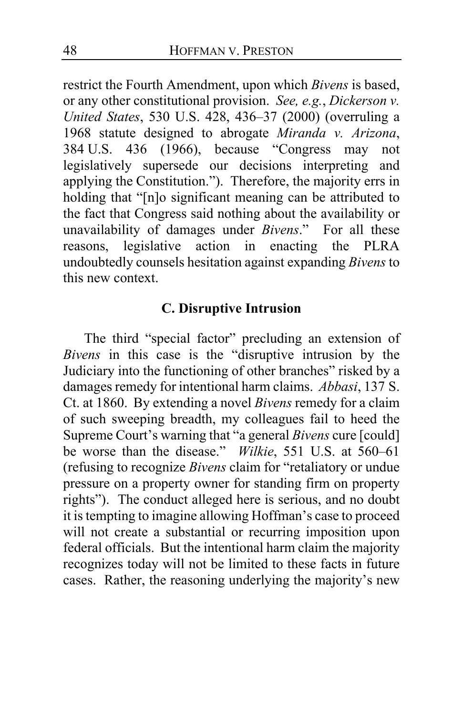restrict the Fourth Amendment, upon which *Bivens* is based, or any other constitutional provision. *See, e.g.*, *Dickerson v. United States*, 530 U.S. 428, 436–37 (2000) (overruling a 1968 statute designed to abrogate *Miranda v. Arizona*, 384 U.S. 436 (1966), because "Congress may not legislatively supersede our decisions interpreting and applying the Constitution."). Therefore, the majority errs in holding that "[n]o significant meaning can be attributed to the fact that Congress said nothing about the availability or unavailability of damages under *Bivens*." For all these reasons, legislative action in enacting the PLRA undoubtedly counsels hesitation against expanding *Bivens* to this new context.

# **C. Disruptive Intrusion**

The third "special factor" precluding an extension of *Bivens* in this case is the "disruptive intrusion by the Judiciary into the functioning of other branches" risked by a damages remedy for intentional harm claims. *Abbasi*, 137 S. Ct. at 1860. By extending a novel *Bivens* remedy for a claim of such sweeping breadth, my colleagues fail to heed the Supreme Court's warning that "a general *Bivens* cure [could] be worse than the disease." *Wilkie*, 551 U.S. at 560–61 (refusing to recognize *Bivens* claim for "retaliatory or undue pressure on a property owner for standing firm on property rights"). The conduct alleged here is serious, and no doubt it is tempting to imagine allowing Hoffman's case to proceed will not create a substantial or recurring imposition upon federal officials. But the intentional harm claim the majority recognizes today will not be limited to these facts in future cases. Rather, the reasoning underlying the majority's new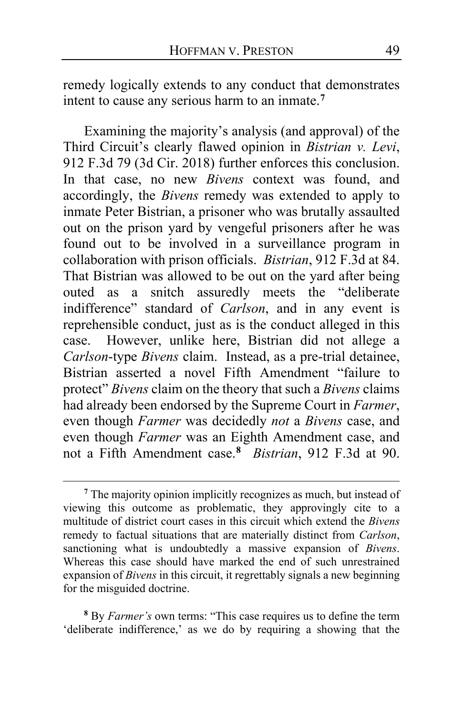remedy logically extends to any conduct that demonstrates intent to cause any serious harm to an inmate.**[7](#page-48-0)**

Examining the majority's analysis (and approval) of the Third Circuit's clearly flawed opinion in *Bistrian v. Levi*, 912 F.3d 79 (3d Cir. 2018) further enforces this conclusion. In that case, no new *Bivens* context was found, and accordingly, the *Bivens* remedy was extended to apply to inmate Peter Bistrian, a prisoner who was brutally assaulted out on the prison yard by vengeful prisoners after he was found out to be involved in a surveillance program in collaboration with prison officials. *Bistrian*, 912 F.3d at 84. That Bistrian was allowed to be out on the yard after being outed as a snitch assuredly meets the "deliberate indifference" standard of *Carlson*, and in any event is reprehensible conduct, just as is the conduct alleged in this case. However, unlike here, Bistrian did not allege a *Carlson*-type *Bivens* claim. Instead, as a pre-trial detainee, Bistrian asserted a novel Fifth Amendment "failure to protect" *Bivens* claim on the theory that such a *Bivens* claims had already been endorsed by the Supreme Court in *Farmer*, even though *Farmer* was decidedly *not* a *Bivens* case, and even though *Farmer* was an Eighth Amendment case, and not a Fifth Amendment case.**[8](#page-48-1)** *Bistrian*, 912 F.3d at 90.

<span id="page-48-1"></span>**<sup>8</sup>** By *Farmer's* own terms: "This case requires us to define the term 'deliberate indifference,' as we do by requiring a showing that the

<span id="page-48-0"></span>**<sup>7</sup>** The majority opinion implicitly recognizes as much, but instead of viewing this outcome as problematic, they approvingly cite to a multitude of district court cases in this circuit which extend the *Bivens*  remedy to factual situations that are materially distinct from *Carlson*, sanctioning what is undoubtedly a massive expansion of *Bivens*. Whereas this case should have marked the end of such unrestrained expansion of *Bivens* in this circuit, it regrettably signals a new beginning for the misguided doctrine.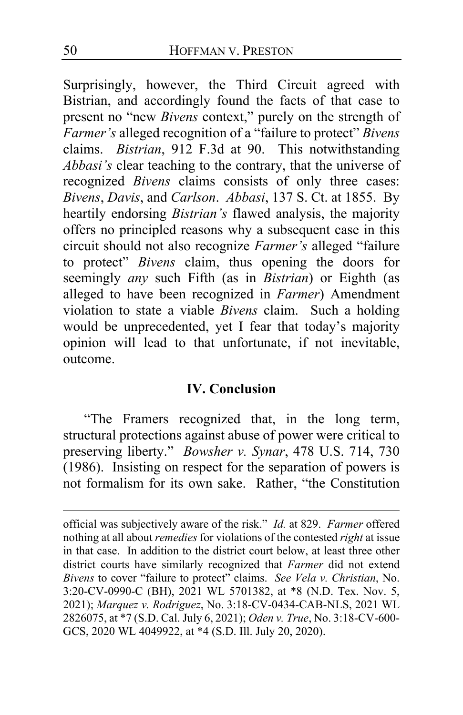Surprisingly, however, the Third Circuit agreed with Bistrian, and accordingly found the facts of that case to present no "new *Bivens* context," purely on the strength of *Farmer's* alleged recognition of a "failure to protect" *Bivens* claims. *Bistrian*, 912 F.3d at 90. This notwithstanding *Abbasi's* clear teaching to the contrary, that the universe of recognized *Bivens* claims consists of only three cases: *Bivens*, *Davis*, and *Carlson*. *Abbasi*, 137 S. Ct. at 1855. By heartily endorsing *Bistrian's* flawed analysis, the majority offers no principled reasons why a subsequent case in this circuit should not also recognize *Farmer's* alleged "failure to protect" *Bivens* claim, thus opening the doors for seemingly *any* such Fifth (as in *Bistrian*) or Eighth (as alleged to have been recognized in *Farmer*) Amendment violation to state a viable *Bivens* claim. Such a holding would be unprecedented, yet I fear that today's majority opinion will lead to that unfortunate, if not inevitable, outcome.

# **IV. Conclusion**

"The Framers recognized that, in the long term, structural protections against abuse of power were critical to preserving liberty." *Bowsher v. Synar*, 478 U.S. 714, 730 (1986). Insisting on respect for the separation of powers is not formalism for its own sake. Rather, "the Constitution

official was subjectively aware of the risk." *Id.* at 829. *Farmer* offered nothing at all about *remedies* for violations of the contested *right* at issue in that case. In addition to the district court below, at least three other district courts have similarly recognized that *Farmer* did not extend *Bivens* to cover "failure to protect" claims. *See Vela v. Christian*, No. 3:20-CV-0990-C (BH), 2021 WL 5701382, at \*8 (N.D. Tex. Nov. 5, 2021); *Marquez v. Rodriguez*, No. 3:18-CV-0434-CAB-NLS, 2021 WL 2826075, at \*7 (S.D. Cal. July 6, 2021); *Oden v. True*, No. 3:18-CV-600- GCS, 2020 WL 4049922, at \*4 (S.D. Ill. July 20, 2020).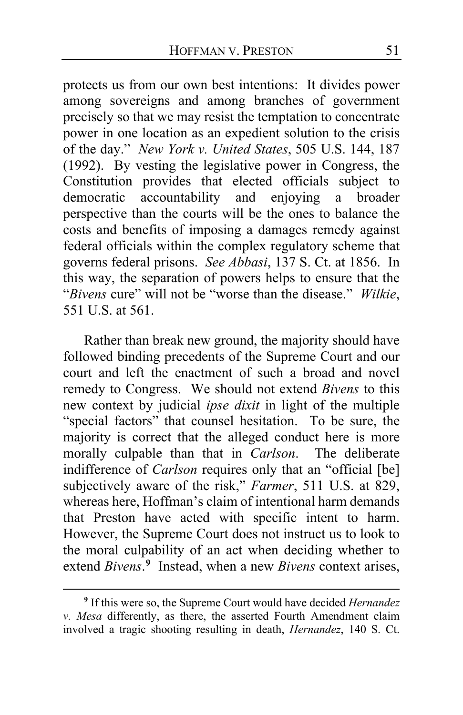protects us from our own best intentions: It divides power among sovereigns and among branches of government precisely so that we may resist the temptation to concentrate power in one location as an expedient solution to the crisis of the day." *New York v. United States*, 505 U.S. 144, 187 (1992). By vesting the legislative power in Congress, the Constitution provides that elected officials subject to accountability and enjoying a broader perspective than the courts will be the ones to balance the costs and benefits of imposing a damages remedy against federal officials within the complex regulatory scheme that governs federal prisons. *See Abbasi*, 137 S. Ct. at 1856. In this way, the separation of powers helps to ensure that the "*Bivens* cure" will not be "worse than the disease." *Wilkie*, 551 U.S. at 561.

Rather than break new ground, the majority should have followed binding precedents of the Supreme Court and our court and left the enactment of such a broad and novel remedy to Congress. We should not extend *Bivens* to this new context by judicial *ipse dixit* in light of the multiple "special factors" that counsel hesitation. To be sure, the majority is correct that the alleged conduct here is more morally culpable than that in *Carlson*. The deliberate indifference of *Carlson* requires only that an "official [be] subjectively aware of the risk," *Farmer*, 511 U.S. at 829, whereas here, Hoffman's claim of intentional harm demands that Preston have acted with specific intent to harm. However, the Supreme Court does not instruct us to look to the moral culpability of an act when deciding whether to extend *Bivens*. **[9](#page-50-0)** Instead, when a new *Bivens* context arises,

<span id="page-50-0"></span>**<sup>9</sup>** If this were so, the Supreme Court would have decided *Hernandez v. Mesa* differently, as there, the asserted Fourth Amendment claim involved a tragic shooting resulting in death, *Hernandez*, 140 S. Ct.